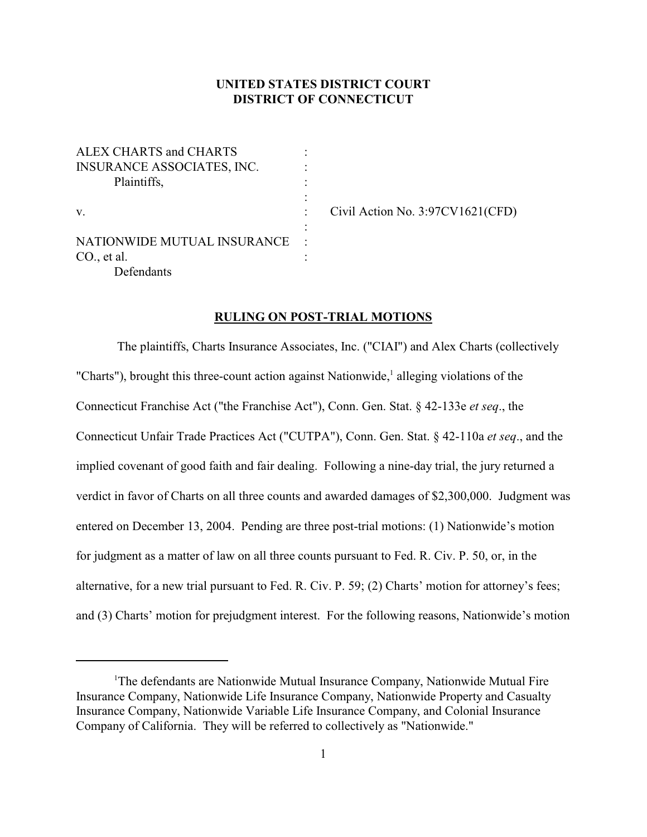# **UNITED STATES DISTRICT COURT DISTRICT OF CONNECTICUT**

:

:

ALEX CHARTS and CHARTS INSURANCE ASSOCIATES, INC. : Plaintiffs, v. Civil Action No. 3:97CV1621(CFD) NATIONWIDE MUTUAL INSURANCE : CO., et al. **Defendants** 

### **RULING ON POST-TRIAL MOTIONS**

 The plaintiffs, Charts Insurance Associates, Inc. ("CIAI") and Alex Charts (collectively "Charts"), brought this three-count action against Nationwide, alleging violations of the Connecticut Franchise Act ("the Franchise Act"), Conn. Gen. Stat. § 42-133e *et seq*., the Connecticut Unfair Trade Practices Act ("CUTPA"), Conn. Gen. Stat. § 42-110a *et seq*., and the implied covenant of good faith and fair dealing. Following a nine-day trial, the jury returned a verdict in favor of Charts on all three counts and awarded damages of \$2,300,000. Judgment was entered on December 13, 2004. Pending are three post-trial motions: (1) Nationwide's motion for judgment as a matter of law on all three counts pursuant to Fed. R. Civ. P. 50, or, in the alternative, for a new trial pursuant to Fed. R. Civ. P. 59; (2) Charts' motion for attorney's fees; and (3) Charts' motion for prejudgment interest. For the following reasons, Nationwide's motion

<sup>&</sup>lt;sup>1</sup>The defendants are Nationwide Mutual Insurance Company, Nationwide Mutual Fire Insurance Company, Nationwide Life Insurance Company, Nationwide Property and Casualty Insurance Company, Nationwide Variable Life Insurance Company, and Colonial Insurance Company of California. They will be referred to collectively as "Nationwide."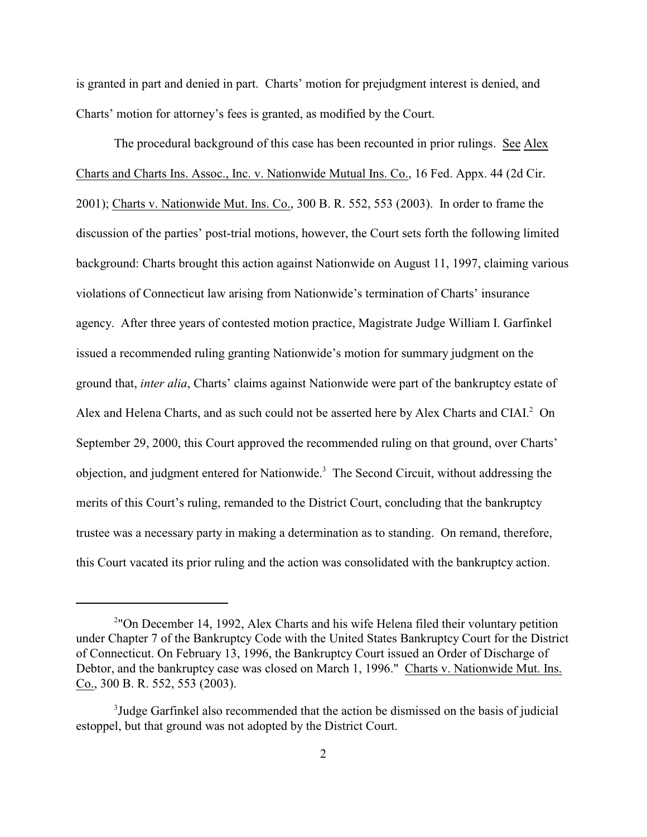is granted in part and denied in part. Charts' motion for prejudgment interest is denied, and Charts' motion for attorney's fees is granted, as modified by the Court.

The procedural background of this case has been recounted in prior rulings. See Alex Charts and Charts Ins. Assoc., Inc. v. Nationwide Mutual Ins. Co., 16 Fed. Appx. 44 (2d Cir. 2001); Charts v. Nationwide Mut. Ins. Co., 300 B. R. 552, 553 (2003). In order to frame the discussion of the parties' post-trial motions, however, the Court sets forth the following limited background: Charts brought this action against Nationwide on August 11, 1997, claiming various violations of Connecticut law arising from Nationwide's termination of Charts' insurance agency. After three years of contested motion practice, Magistrate Judge William I. Garfinkel issued a recommended ruling granting Nationwide's motion for summary judgment on the ground that, *inter alia*, Charts' claims against Nationwide were part of the bankruptcy estate of Alex and Helena Charts, and as such could not be asserted here by Alex Charts and CIAI.<sup>2</sup> On September 29, 2000, this Court approved the recommended ruling on that ground, over Charts' objection, and judgment entered for Nationwide.<sup>3</sup> The Second Circuit, without addressing the merits of this Court's ruling, remanded to the District Court, concluding that the bankruptcy trustee was a necessary party in making a determination as to standing. On remand, therefore, this Court vacated its prior ruling and the action was consolidated with the bankruptcy action.

<sup>&</sup>lt;sup>2</sup>"On December 14, 1992, Alex Charts and his wife Helena filed their voluntary petition under Chapter 7 of the Bankruptcy Code with the United States Bankruptcy Court for the District of Connecticut. On February 13, 1996, the Bankruptcy Court issued an Order of Discharge of Debtor, and the bankruptcy case was closed on March 1, 1996." Charts v. Nationwide Mut. Ins. Co., 300 B. R. 552, 553 (2003).

<sup>&</sup>lt;sup>3</sup>Judge Garfinkel also recommended that the action be dismissed on the basis of judicial estoppel, but that ground was not adopted by the District Court.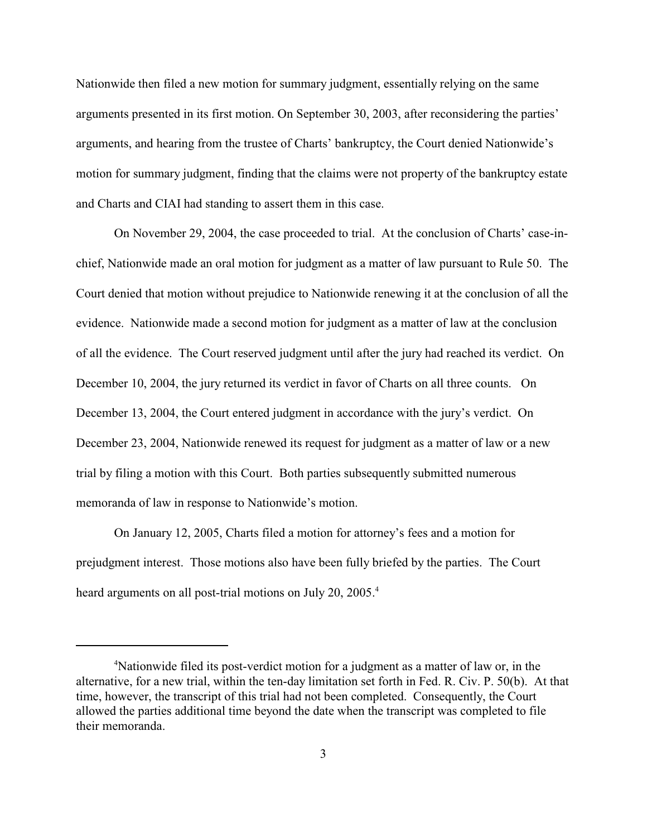Nationwide then filed a new motion for summary judgment, essentially relying on the same arguments presented in its first motion. On September 30, 2003, after reconsidering the parties' arguments, and hearing from the trustee of Charts' bankruptcy, the Court denied Nationwide's motion for summary judgment, finding that the claims were not property of the bankruptcy estate and Charts and CIAI had standing to assert them in this case.

On November 29, 2004, the case proceeded to trial. At the conclusion of Charts' case-inchief, Nationwide made an oral motion for judgment as a matter of law pursuant to Rule 50. The Court denied that motion without prejudice to Nationwide renewing it at the conclusion of all the evidence. Nationwide made a second motion for judgment as a matter of law at the conclusion of all the evidence. The Court reserved judgment until after the jury had reached its verdict. On December 10, 2004, the jury returned its verdict in favor of Charts on all three counts. On December 13, 2004, the Court entered judgment in accordance with the jury's verdict. On December 23, 2004, Nationwide renewed its request for judgment as a matter of law or a new trial by filing a motion with this Court. Both parties subsequently submitted numerous memoranda of law in response to Nationwide's motion.

On January 12, 2005, Charts filed a motion for attorney's fees and a motion for prejudgment interest. Those motions also have been fully briefed by the parties. The Court heard arguments on all post-trial motions on July 20, 2005.<sup>4</sup>

<sup>&</sup>lt;sup>4</sup>Nationwide filed its post-verdict motion for a judgment as a matter of law or, in the alternative, for a new trial, within the ten-day limitation set forth in Fed. R. Civ. P. 50(b). At that time, however, the transcript of this trial had not been completed. Consequently, the Court allowed the parties additional time beyond the date when the transcript was completed to file their memoranda.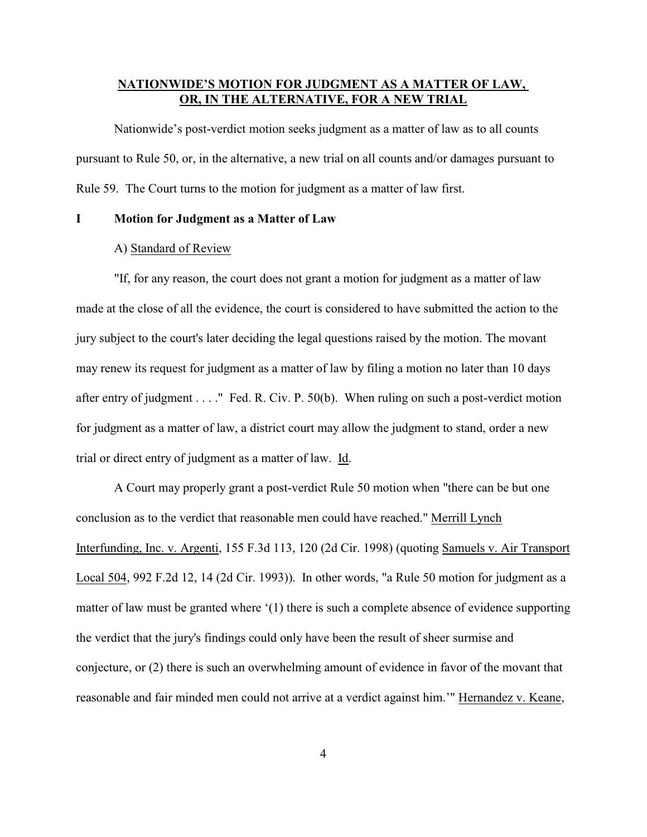# **NATIONWIDE'S MOTION FOR JUDGMENT AS A MATTER OF LAW, OR, IN THE ALTERNATIVE, FOR A NEW TRIAL**

Nationwide's post-verdict motion seeks judgment as a matter of law as to all counts pursuant to Rule 50, or, in the alternative, a new trial on all counts and/or damages pursuant to Rule 59. The Court turns to the motion for judgment as a matter of law first.

#### **I Motion for Judgment as a Matter of Law**

### A) Standard of Review

"If, for any reason, the court does not grant a motion for judgment as a matter of law made at the close of all the evidence, the court is considered to have submitted the action to the jury subject to the court's later deciding the legal questions raised by the motion. The movant may renew its request for judgment as a matter of law by filing a motion no later than 10 days after entry of judgment . . . ." Fed. R. Civ. P. 50(b). When ruling on such a post-verdict motion for judgment as a matter of law, a district court may allow the judgment to stand, order a new trial or direct entry of judgment as a matter of law. Id.

A Court may properly grant a post-verdict Rule 50 motion when "there can be but one conclusion as to the verdict that reasonable men could have reached." Merrill Lynch Interfunding, Inc. v. Argenti, 155 F.3d 113, 120 (2d Cir. 1998) (quoting Samuels v. Air Transport Local 504, 992 F.2d 12, 14 (2d Cir. 1993)). In other words, "a Rule 50 motion for judgment as a matter of law must be granted where '(1) there is such a complete absence of evidence supporting the verdict that the jury's findings could only have been the result of sheer surmise and conjecture, or (2) there is such an overwhelming amount of evidence in favor of the movant that reasonable and fair minded men could not arrive at a verdict against him.'" Hernandez v. Keane,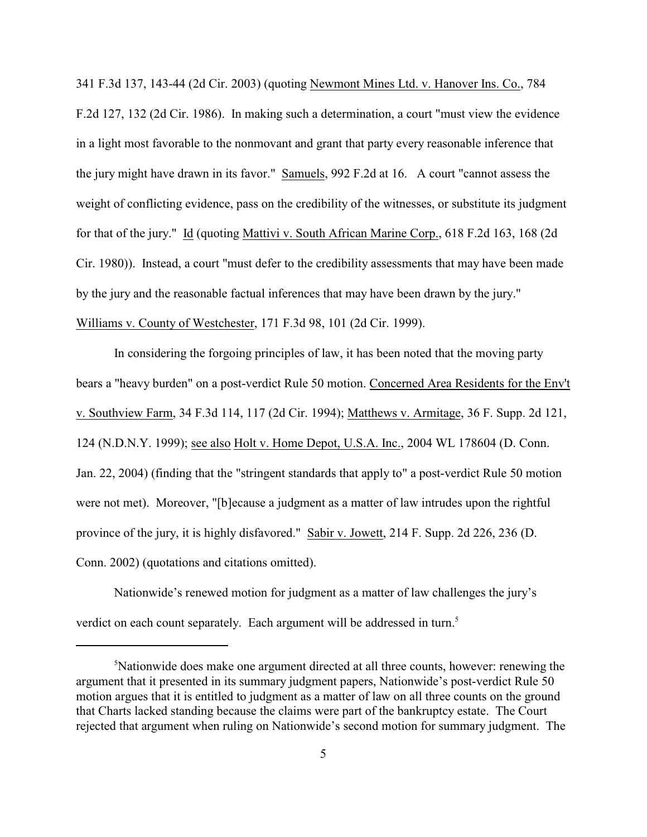341 F.3d 137, 143-44 (2d Cir. 2003) (quoting Newmont Mines Ltd. v. Hanover Ins. Co., 784 F.2d 127, 132 (2d Cir. 1986). In making such a determination, a court "must view the evidence in a light most favorable to the nonmovant and grant that party every reasonable inference that the jury might have drawn in its favor." Samuels, 992 F.2d at 16. A court "cannot assess the weight of conflicting evidence, pass on the credibility of the witnesses, or substitute its judgment for that of the jury." Id (quoting Mattivi v. South African Marine Corp., 618 F.2d 163, 168 (2d Cir. 1980)). Instead, a court "must defer to the credibility assessments that may have been made by the jury and the reasonable factual inferences that may have been drawn by the jury." Williams v. County of Westchester, 171 F.3d 98, 101 (2d Cir. 1999).

In considering the forgoing principles of law, it has been noted that the moving party bears a "heavy burden" on a post-verdict Rule 50 motion. Concerned Area Residents for the Env't v. Southview Farm, 34 F.3d 114, 117 (2d Cir. 1994); Matthews v. Armitage, 36 F. Supp. 2d 121, 124 (N.D.N.Y. 1999); see also Holt v. Home Depot, U.S.A. Inc., 2004 WL 178604 (D. Conn. Jan. 22, 2004) (finding that the "stringent standards that apply to" a post-verdict Rule 50 motion were not met). Moreover, "[b]ecause a judgment as a matter of law intrudes upon the rightful province of the jury, it is highly disfavored." Sabir v. Jowett, 214 F. Supp. 2d 226, 236 (D. Conn. 2002) (quotations and citations omitted).

Nationwide's renewed motion for judgment as a matter of law challenges the jury's verdict on each count separately. Each argument will be addressed in turn.<sup>5</sup>

<sup>&</sup>lt;sup>5</sup>Nationwide does make one argument directed at all three counts, however: renewing the argument that it presented in its summary judgment papers, Nationwide's post-verdict Rule 50 motion argues that it is entitled to judgment as a matter of law on all three counts on the ground that Charts lacked standing because the claims were part of the bankruptcy estate. The Court rejected that argument when ruling on Nationwide's second motion for summary judgment. The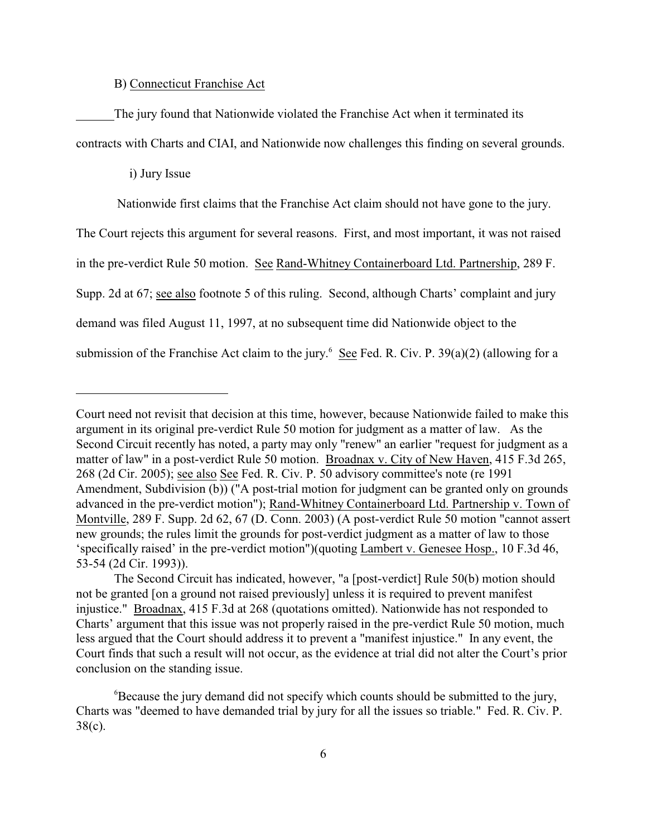## B) Connecticut Franchise Act

The jury found that Nationwide violated the Franchise Act when it terminated its contracts with Charts and CIAI, and Nationwide now challenges this finding on several grounds.

i) Jury Issue

Nationwide first claims that the Franchise Act claim should not have gone to the jury.

The Court rejects this argument for several reasons. First, and most important, it was not raised

in the pre-verdict Rule 50 motion. See Rand-Whitney Containerboard Ltd. Partnership, 289 F.

Supp. 2d at 67; see also footnote 5 of this ruling. Second, although Charts' complaint and jury

demand was filed August 11, 1997, at no subsequent time did Nationwide object to the

submission of the Franchise Act claim to the jury.<sup>6</sup> See Fed. R. Civ. P. 39(a)(2) (allowing for a

Court need not revisit that decision at this time, however, because Nationwide failed to make this argument in its original pre-verdict Rule 50 motion for judgment as a matter of law. As the Second Circuit recently has noted, a party may only "renew" an earlier "request for judgment as a matter of law" in a post-verdict Rule 50 motion. Broadnax v. City of New Haven, 415 F.3d 265, 268 (2d Cir. 2005); see also See Fed. R. Civ. P. 50 advisory committee's note (re 1991 Amendment, Subdivision (b)) ("A post-trial motion for judgment can be granted only on grounds advanced in the pre-verdict motion"); Rand-Whitney Containerboard Ltd. Partnership v. Town of Montville, 289 F. Supp. 2d 62, 67 (D. Conn. 2003) (A post-verdict Rule 50 motion "cannot assert new grounds; the rules limit the grounds for post-verdict judgment as a matter of law to those 'specifically raised' in the pre-verdict motion")(quoting Lambert v. Genesee Hosp., 10 F.3d 46, 53-54 (2d Cir. 1993)).

The Second Circuit has indicated, however, "a [post-verdict] Rule 50(b) motion should not be granted [on a ground not raised previously] unless it is required to prevent manifest injustice." Broadnax, 415 F.3d at 268 (quotations omitted). Nationwide has not responded to Charts' argument that this issue was not properly raised in the pre-verdict Rule 50 motion, much less argued that the Court should address it to prevent a "manifest injustice." In any event, the Court finds that such a result will not occur, as the evidence at trial did not alter the Court's prior conclusion on the standing issue.

 ${}^{6}$ Because the jury demand did not specify which counts should be submitted to the jury, Charts was "deemed to have demanded trial by jury for all the issues so triable." Fed. R. Civ. P. 38(c).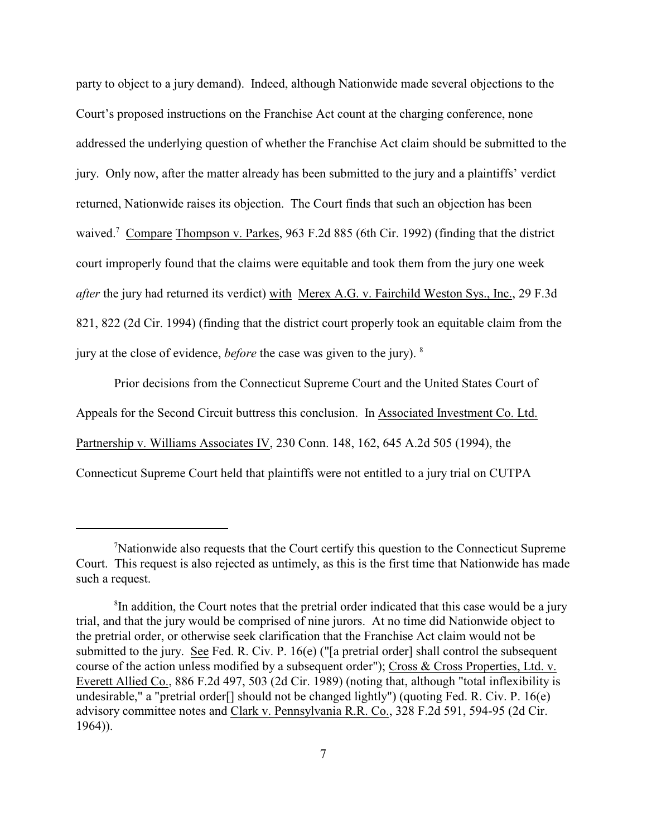party to object to a jury demand). Indeed, although Nationwide made several objections to the Court's proposed instructions on the Franchise Act count at the charging conference, none addressed the underlying question of whether the Franchise Act claim should be submitted to the jury. Only now, after the matter already has been submitted to the jury and a plaintiffs' verdict returned, Nationwide raises its objection. The Court finds that such an objection has been waived.<sup>7</sup> Compare Thompson v. Parkes, 963 F.2d 885 (6th Cir. 1992) (finding that the district court improperly found that the claims were equitable and took them from the jury one week *after* the jury had returned its verdict) with Merex A.G. v. Fairchild Weston Sys., Inc., 29 F.3d 821, 822 (2d Cir. 1994) (finding that the district court properly took an equitable claim from the jury at the close of evidence, *before* the case was given to the jury). <sup>8</sup>

Prior decisions from the Connecticut Supreme Court and the United States Court of Appeals for the Second Circuit buttress this conclusion. In Associated Investment Co. Ltd. Partnership v. Williams Associates IV, 230 Conn. 148, 162, 645 A.2d 505 (1994), the Connecticut Supreme Court held that plaintiffs were not entitled to a jury trial on CUTPA

<sup>&</sup>lt;sup>7</sup>Nationwide also requests that the Court certify this question to the Connecticut Supreme Court. This request is also rejected as untimely, as this is the first time that Nationwide has made such a request.

<sup>&</sup>lt;sup>8</sup>In addition, the Court notes that the pretrial order indicated that this case would be a jury trial, and that the jury would be comprised of nine jurors. At no time did Nationwide object to the pretrial order, or otherwise seek clarification that the Franchise Act claim would not be submitted to the jury. See Fed. R. Civ. P. 16(e) ("[a pretrial order] shall control the subsequent course of the action unless modified by a subsequent order"); Cross & Cross Properties, Ltd. v. Everett Allied Co., 886 F.2d 497, 503 (2d Cir. 1989) (noting that, although "total inflexibility is undesirable," a "pretrial order<sup>[]</sup> should not be changed lightly") (quoting Fed. R. Civ. P. 16(e) advisory committee notes and Clark v. Pennsylvania R.R. Co., 328 F.2d 591, 594-95 (2d Cir. 1964)).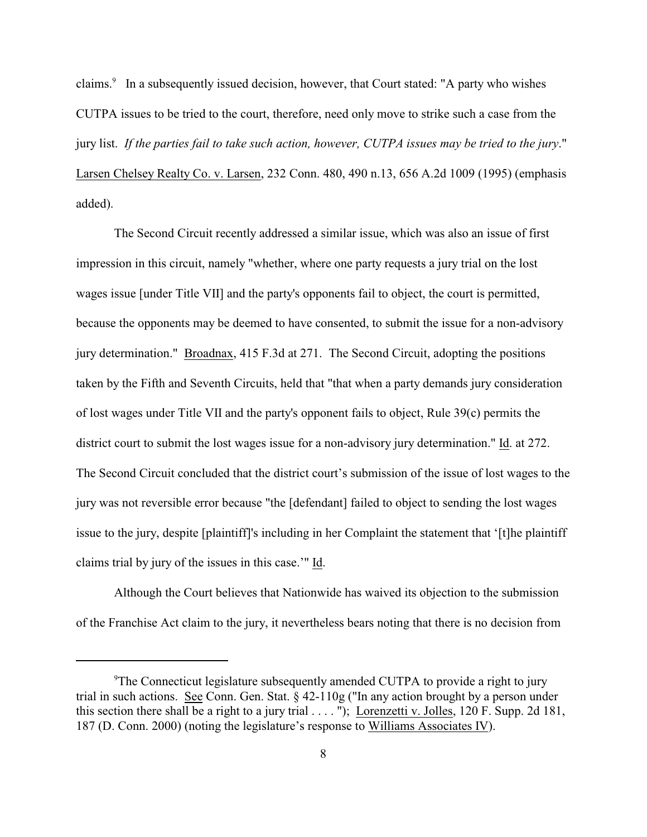claims.<sup>9</sup> In a subsequently issued decision, however, that Court stated: "A party who wishes CUTPA issues to be tried to the court, therefore, need only move to strike such a case from the jury list. *If the parties fail to take such action, however, CUTPA issues may be tried to the jury*." Larsen Chelsey Realty Co. v. Larsen, 232 Conn. 480, 490 n.13, 656 A.2d 1009 (1995) (emphasis added).

The Second Circuit recently addressed a similar issue, which was also an issue of first impression in this circuit, namely "whether, where one party requests a jury trial on the lost wages issue [under Title VII] and the party's opponents fail to object, the court is permitted, because the opponents may be deemed to have consented, to submit the issue for a non-advisory jury determination." Broadnax, 415 F.3d at 271. The Second Circuit, adopting the positions taken by the Fifth and Seventh Circuits, held that "that when a party demands jury consideration of lost wages under Title VII and the party's opponent fails to object, Rule 39(c) permits the district court to submit the lost wages issue for a non-advisory jury determination." Id. at 272. The Second Circuit concluded that the district court's submission of the issue of lost wages to the jury was not reversible error because "the [defendant] failed to object to sending the lost wages issue to the jury, despite [plaintiff]'s including in her Complaint the statement that '[t]he plaintiff claims trial by jury of the issues in this case.'" Id.

Although the Court believes that Nationwide has waived its objection to the submission of the Franchise Act claim to the jury, it nevertheless bears noting that there is no decision from

<sup>&</sup>lt;sup>9</sup>The Connecticut legislature subsequently amended CUTPA to provide a right to jury trial in such actions. See Conn. Gen. Stat. § 42-110g ("In any action brought by a person under this section there shall be a right to a jury trial  $\dots$ . "); Lorenzetti v. Jolles, 120 F. Supp. 2d 181, 187 (D. Conn. 2000) (noting the legislature's response to Williams Associates IV).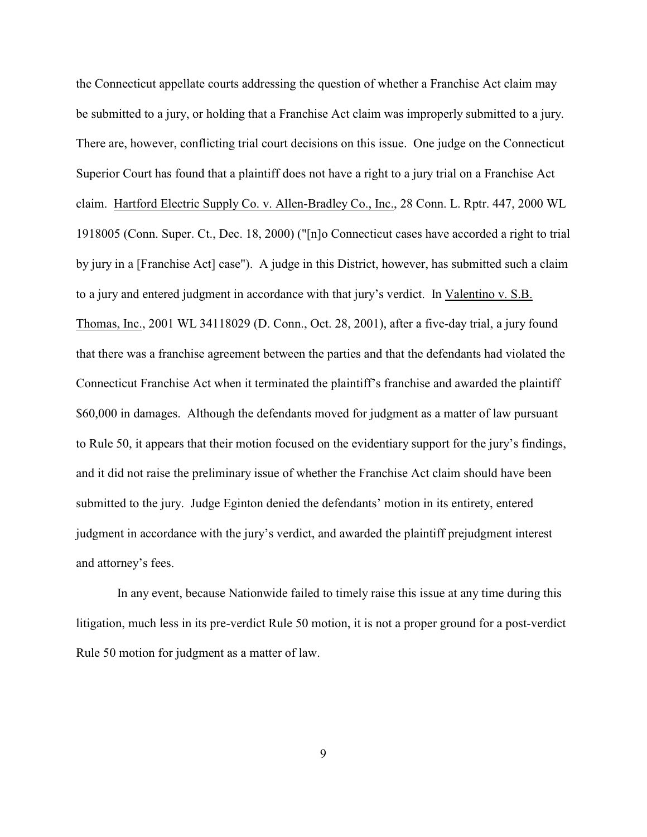the Connecticut appellate courts addressing the question of whether a Franchise Act claim may be submitted to a jury, or holding that a Franchise Act claim was improperly submitted to a jury. There are, however, conflicting trial court decisions on this issue. One judge on the Connecticut Superior Court has found that a plaintiff does not have a right to a jury trial on a Franchise Act claim. Hartford Electric Supply Co. v. Allen-Bradley Co., Inc., 28 Conn. L. Rptr. 447, 2000 WL 1918005 (Conn. Super. Ct., Dec. 18, 2000) ("[n]o Connecticut cases have accorded a right to trial by jury in a [Franchise Act] case"). A judge in this District, however, has submitted such a claim to a jury and entered judgment in accordance with that jury's verdict. In Valentino v. S.B. Thomas, Inc., 2001 WL 34118029 (D. Conn., Oct. 28, 2001), after a five-day trial, a jury found that there was a franchise agreement between the parties and that the defendants had violated the Connecticut Franchise Act when it terminated the plaintiff's franchise and awarded the plaintiff \$60,000 in damages. Although the defendants moved for judgment as a matter of law pursuant to Rule 50, it appears that their motion focused on the evidentiary support for the jury's findings, and it did not raise the preliminary issue of whether the Franchise Act claim should have been submitted to the jury. Judge Eginton denied the defendants' motion in its entirety, entered judgment in accordance with the jury's verdict, and awarded the plaintiff prejudgment interest and attorney's fees.

 In any event, because Nationwide failed to timely raise this issue at any time during this litigation, much less in its pre-verdict Rule 50 motion, it is not a proper ground for a post-verdict Rule 50 motion for judgment as a matter of law.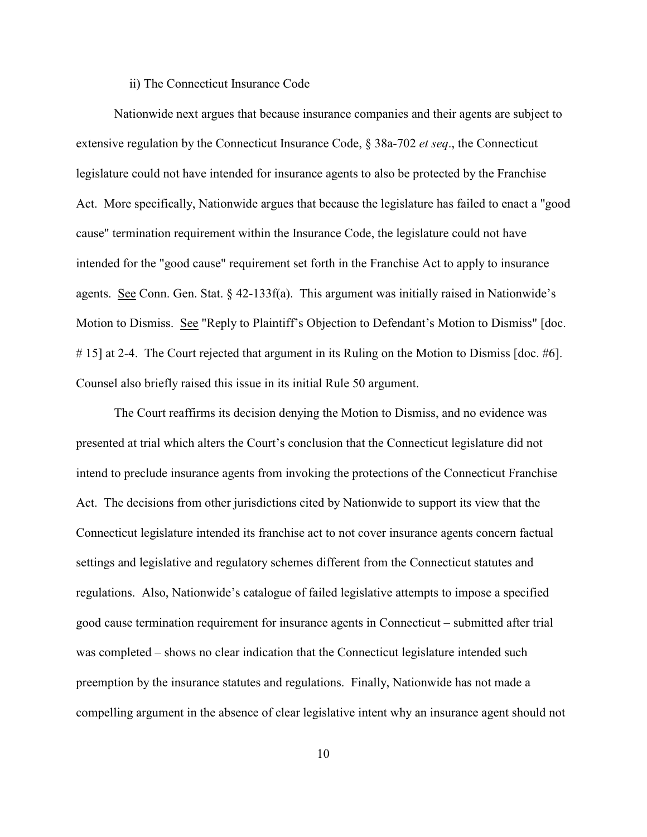#### ii) The Connecticut Insurance Code

Nationwide next argues that because insurance companies and their agents are subject to extensive regulation by the Connecticut Insurance Code, § 38a-702 *et seq*., the Connecticut legislature could not have intended for insurance agents to also be protected by the Franchise Act. More specifically, Nationwide argues that because the legislature has failed to enact a "good cause" termination requirement within the Insurance Code, the legislature could not have intended for the "good cause" requirement set forth in the Franchise Act to apply to insurance agents. See Conn. Gen. Stat. § 42-133f(a). This argument was initially raised in Nationwide's Motion to Dismiss. See "Reply to Plaintiff's Objection to Defendant's Motion to Dismiss" [doc. # 15] at 2-4. The Court rejected that argument in its Ruling on the Motion to Dismiss [doc. #6]. Counsel also briefly raised this issue in its initial Rule 50 argument.

The Court reaffirms its decision denying the Motion to Dismiss, and no evidence was presented at trial which alters the Court's conclusion that the Connecticut legislature did not intend to preclude insurance agents from invoking the protections of the Connecticut Franchise Act. The decisions from other jurisdictions cited by Nationwide to support its view that the Connecticut legislature intended its franchise act to not cover insurance agents concern factual settings and legislative and regulatory schemes different from the Connecticut statutes and regulations. Also, Nationwide's catalogue of failed legislative attempts to impose a specified good cause termination requirement for insurance agents in Connecticut – submitted after trial was completed – shows no clear indication that the Connecticut legislature intended such preemption by the insurance statutes and regulations. Finally, Nationwide has not made a compelling argument in the absence of clear legislative intent why an insurance agent should not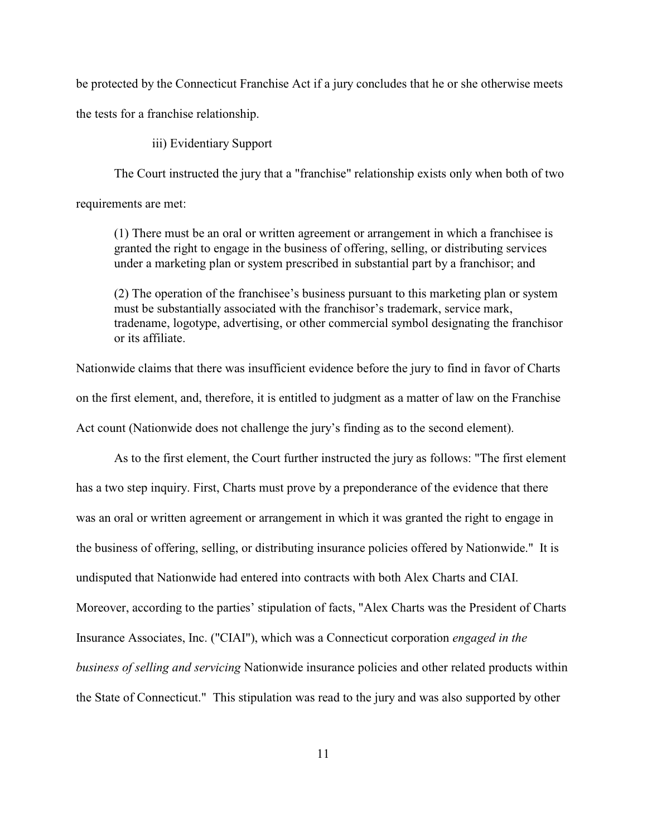be protected by the Connecticut Franchise Act if a jury concludes that he or she otherwise meets the tests for a franchise relationship.

iii) Evidentiary Support

The Court instructed the jury that a "franchise" relationship exists only when both of two

requirements are met:

(1) There must be an oral or written agreement or arrangement in which a franchisee is granted the right to engage in the business of offering, selling, or distributing services under a marketing plan or system prescribed in substantial part by a franchisor; and

(2) The operation of the franchisee's business pursuant to this marketing plan or system must be substantially associated with the franchisor's trademark, service mark, tradename, logotype, advertising, or other commercial symbol designating the franchisor or its affiliate.

Nationwide claims that there was insufficient evidence before the jury to find in favor of Charts on the first element, and, therefore, it is entitled to judgment as a matter of law on the Franchise Act count (Nationwide does not challenge the jury's finding as to the second element).

As to the first element, the Court further instructed the jury as follows: "The first element has a two step inquiry. First, Charts must prove by a preponderance of the evidence that there was an oral or written agreement or arrangement in which it was granted the right to engage in the business of offering, selling, or distributing insurance policies offered by Nationwide." It is undisputed that Nationwide had entered into contracts with both Alex Charts and CIAI. Moreover, according to the parties' stipulation of facts, "Alex Charts was the President of Charts Insurance Associates, Inc. ("CIAI"), which was a Connecticut corporation *engaged in the business of selling and servicing* Nationwide insurance policies and other related products within the State of Connecticut." This stipulation was read to the jury and was also supported by other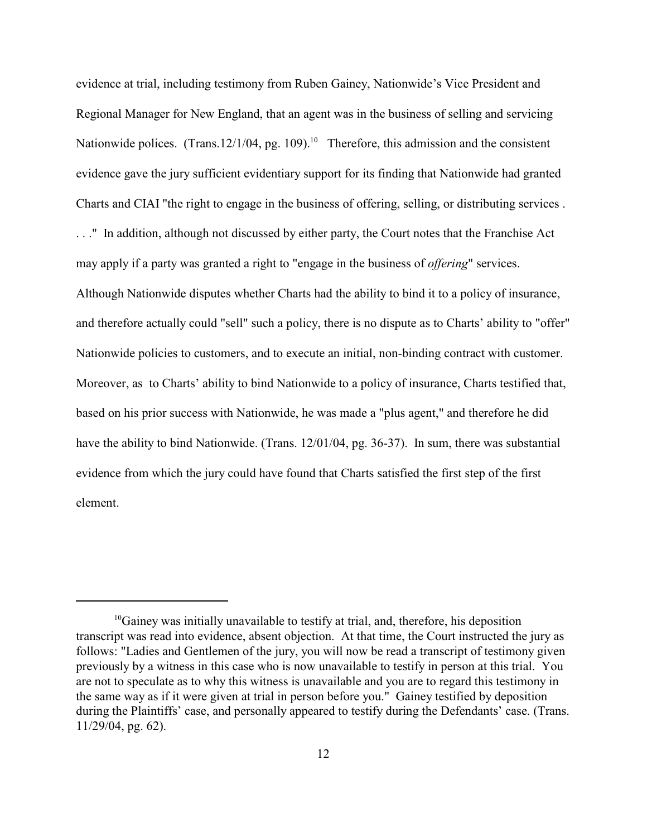evidence at trial, including testimony from Ruben Gainey, Nationwide's Vice President and Regional Manager for New England, that an agent was in the business of selling and servicing Nationwide polices. (Trans.12/1/04, pg. 109).<sup>10</sup> Therefore, this admission and the consistent evidence gave the jury sufficient evidentiary support for its finding that Nationwide had granted Charts and CIAI "the right to engage in the business of offering, selling, or distributing services . . . ." In addition, although not discussed by either party, the Court notes that the Franchise Act may apply if a party was granted a right to "engage in the business of *offering*" services. Although Nationwide disputes whether Charts had the ability to bind it to a policy of insurance, and therefore actually could "sell" such a policy, there is no dispute as to Charts' ability to "offer" Nationwide policies to customers, and to execute an initial, non-binding contract with customer. Moreover, as to Charts' ability to bind Nationwide to a policy of insurance, Charts testified that, based on his prior success with Nationwide, he was made a "plus agent," and therefore he did have the ability to bind Nationwide. (Trans. 12/01/04, pg. 36-37). In sum, there was substantial evidence from which the jury could have found that Charts satisfied the first step of the first element.

 $^{10}$ Gainey was initially unavailable to testify at trial, and, therefore, his deposition transcript was read into evidence, absent objection. At that time, the Court instructed the jury as follows: "Ladies and Gentlemen of the jury, you will now be read a transcript of testimony given previously by a witness in this case who is now unavailable to testify in person at this trial. You are not to speculate as to why this witness is unavailable and you are to regard this testimony in the same way as if it were given at trial in person before you." Gainey testified by deposition during the Plaintiffs' case, and personally appeared to testify during the Defendants' case. (Trans. 11/29/04, pg. 62).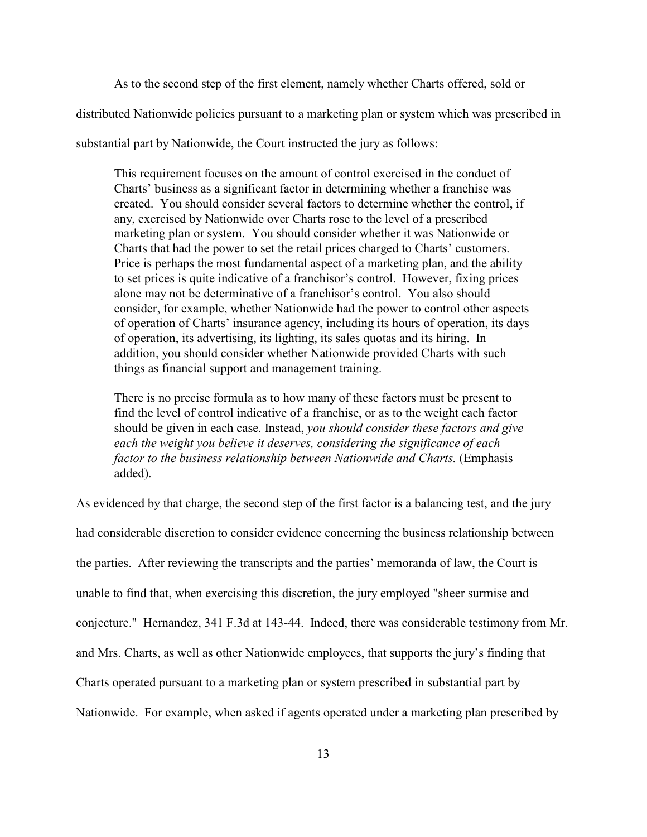As to the second step of the first element, namely whether Charts offered, sold or distributed Nationwide policies pursuant to a marketing plan or system which was prescribed in substantial part by Nationwide, the Court instructed the jury as follows:

This requirement focuses on the amount of control exercised in the conduct of Charts' business as a significant factor in determining whether a franchise was created. You should consider several factors to determine whether the control, if any, exercised by Nationwide over Charts rose to the level of a prescribed marketing plan or system. You should consider whether it was Nationwide or Charts that had the power to set the retail prices charged to Charts' customers. Price is perhaps the most fundamental aspect of a marketing plan, and the ability to set prices is quite indicative of a franchisor's control. However, fixing prices alone may not be determinative of a franchisor's control. You also should consider, for example, whether Nationwide had the power to control other aspects of operation of Charts' insurance agency, including its hours of operation, its days of operation, its advertising, its lighting, its sales quotas and its hiring. In addition, you should consider whether Nationwide provided Charts with such things as financial support and management training.

There is no precise formula as to how many of these factors must be present to find the level of control indicative of a franchise, or as to the weight each factor should be given in each case. Instead, *you should consider these factors and give each the weight you believe it deserves, considering the significance of each factor to the business relationship between Nationwide and Charts.* (Emphasis added).

As evidenced by that charge, the second step of the first factor is a balancing test, and the jury had considerable discretion to consider evidence concerning the business relationship between the parties. After reviewing the transcripts and the parties' memoranda of law, the Court is unable to find that, when exercising this discretion, the jury employed "sheer surmise and conjecture." Hernandez, 341 F.3d at 143-44. Indeed, there was considerable testimony from Mr. and Mrs. Charts, as well as other Nationwide employees, that supports the jury's finding that Charts operated pursuant to a marketing plan or system prescribed in substantial part by Nationwide. For example, when asked if agents operated under a marketing plan prescribed by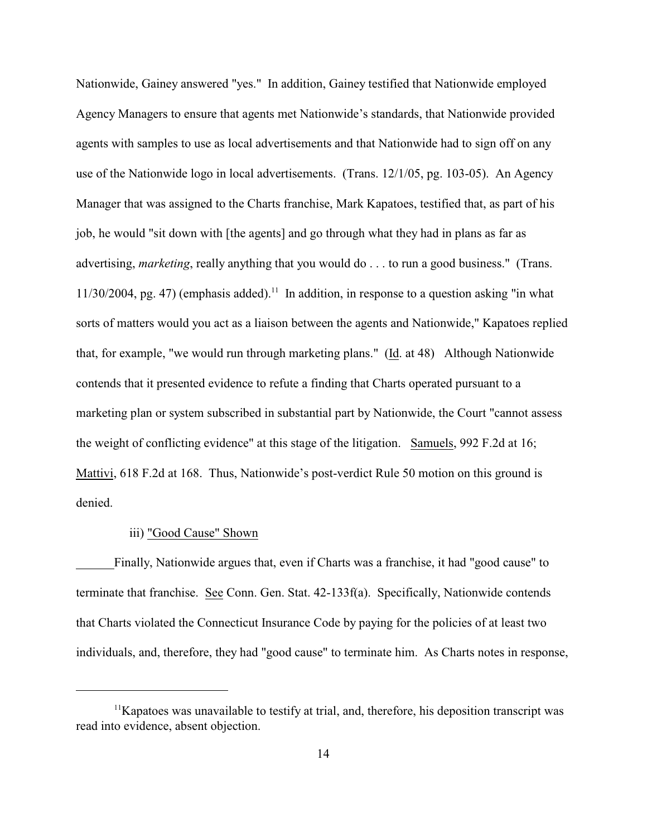Nationwide, Gainey answered "yes." In addition, Gainey testified that Nationwide employed Agency Managers to ensure that agents met Nationwide's standards, that Nationwide provided agents with samples to use as local advertisements and that Nationwide had to sign off on any use of the Nationwide logo in local advertisements. (Trans. 12/1/05, pg. 103-05). An Agency Manager that was assigned to the Charts franchise, Mark Kapatoes, testified that, as part of his job, he would "sit down with [the agents] and go through what they had in plans as far as advertising, *marketing*, really anything that you would do . . . to run a good business." (Trans.  $11/30/2004$ , pg. 47) (emphasis added).<sup>11</sup> In addition, in response to a question asking "in what sorts of matters would you act as a liaison between the agents and Nationwide," Kapatoes replied that, for example, "we would run through marketing plans." (Id. at 48) Although Nationwide contends that it presented evidence to refute a finding that Charts operated pursuant to a marketing plan or system subscribed in substantial part by Nationwide, the Court "cannot assess the weight of conflicting evidence" at this stage of the litigation. Samuels, 992 F.2d at 16; Mattivi, 618 F.2d at 168. Thus, Nationwide's post-verdict Rule 50 motion on this ground is denied.

### iii) "Good Cause" Shown

Finally, Nationwide argues that, even if Charts was a franchise, it had "good cause" to terminate that franchise. See Conn. Gen. Stat. 42-133f(a). Specifically, Nationwide contends that Charts violated the Connecticut Insurance Code by paying for the policies of at least two individuals, and, therefore, they had "good cause" to terminate him. As Charts notes in response,

 $11$ Kapatoes was unavailable to testify at trial, and, therefore, his deposition transcript was read into evidence, absent objection.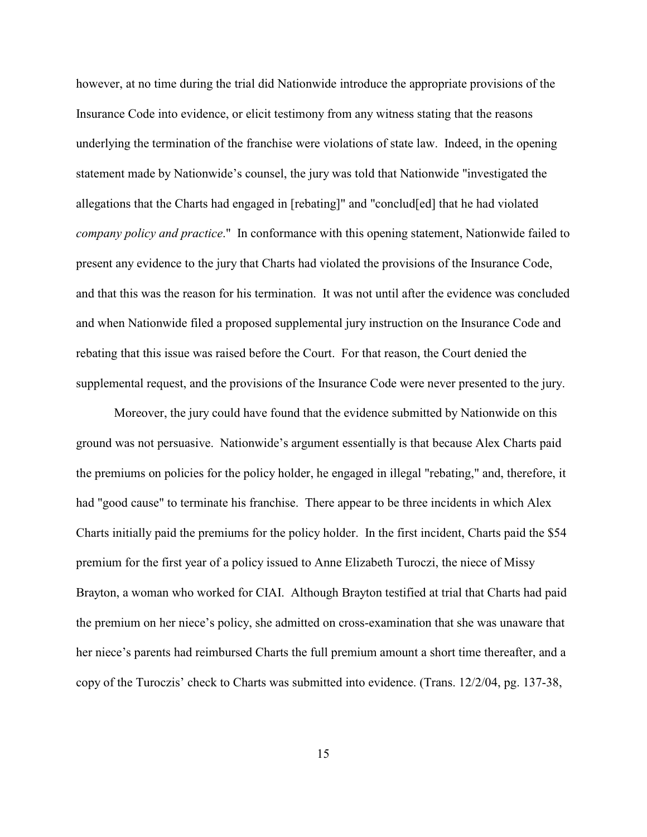however, at no time during the trial did Nationwide introduce the appropriate provisions of the Insurance Code into evidence, or elicit testimony from any witness stating that the reasons underlying the termination of the franchise were violations of state law. Indeed, in the opening statement made by Nationwide's counsel, the jury was told that Nationwide "investigated the allegations that the Charts had engaged in [rebating]" and "conclud[ed] that he had violated *company policy and practice*." In conformance with this opening statement, Nationwide failed to present any evidence to the jury that Charts had violated the provisions of the Insurance Code, and that this was the reason for his termination. It was not until after the evidence was concluded and when Nationwide filed a proposed supplemental jury instruction on the Insurance Code and rebating that this issue was raised before the Court. For that reason, the Court denied the supplemental request, and the provisions of the Insurance Code were never presented to the jury.

Moreover, the jury could have found that the evidence submitted by Nationwide on this ground was not persuasive. Nationwide's argument essentially is that because Alex Charts paid the premiums on policies for the policy holder, he engaged in illegal "rebating," and, therefore, it had "good cause" to terminate his franchise. There appear to be three incidents in which Alex Charts initially paid the premiums for the policy holder. In the first incident, Charts paid the \$54 premium for the first year of a policy issued to Anne Elizabeth Turoczi, the niece of Missy Brayton, a woman who worked for CIAI. Although Brayton testified at trial that Charts had paid the premium on her niece's policy, she admitted on cross-examination that she was unaware that her niece's parents had reimbursed Charts the full premium amount a short time thereafter, and a copy of the Turoczis' check to Charts was submitted into evidence. (Trans. 12/2/04, pg. 137-38,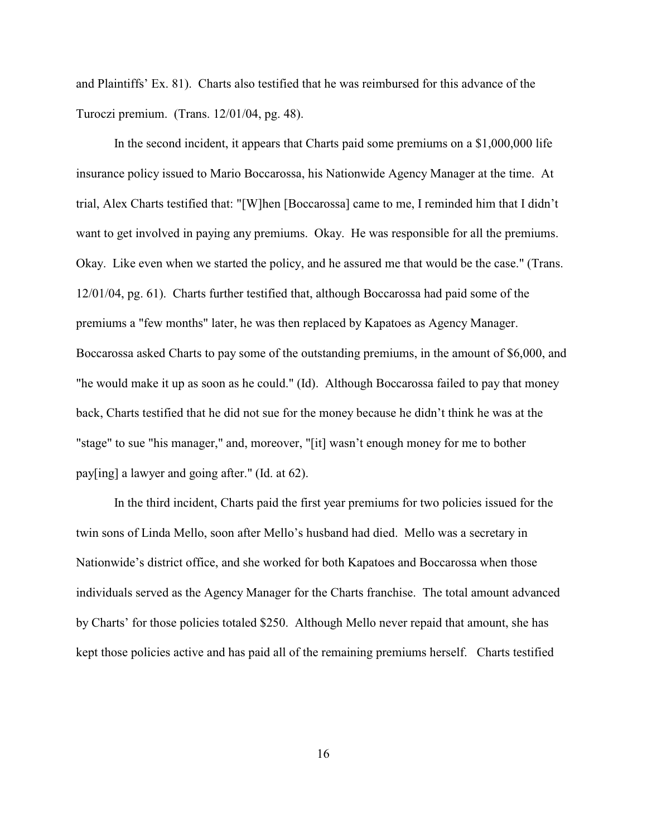and Plaintiffs' Ex. 81). Charts also testified that he was reimbursed for this advance of the Turoczi premium. (Trans. 12/01/04, pg. 48).

In the second incident, it appears that Charts paid some premiums on a \$1,000,000 life insurance policy issued to Mario Boccarossa, his Nationwide Agency Manager at the time. At trial, Alex Charts testified that: "[W]hen [Boccarossa] came to me, I reminded him that I didn't want to get involved in paying any premiums. Okay. He was responsible for all the premiums. Okay. Like even when we started the policy, and he assured me that would be the case." (Trans. 12/01/04, pg. 61). Charts further testified that, although Boccarossa had paid some of the premiums a "few months" later, he was then replaced by Kapatoes as Agency Manager. Boccarossa asked Charts to pay some of the outstanding premiums, in the amount of \$6,000, and "he would make it up as soon as he could." (Id). Although Boccarossa failed to pay that money back, Charts testified that he did not sue for the money because he didn't think he was at the "stage" to sue "his manager," and, moreover, "[it] wasn't enough money for me to bother pay[ing] a lawyer and going after." (Id. at 62).

In the third incident, Charts paid the first year premiums for two policies issued for the twin sons of Linda Mello, soon after Mello's husband had died. Mello was a secretary in Nationwide's district office, and she worked for both Kapatoes and Boccarossa when those individuals served as the Agency Manager for the Charts franchise. The total amount advanced by Charts' for those policies totaled \$250. Although Mello never repaid that amount, she has kept those policies active and has paid all of the remaining premiums herself. Charts testified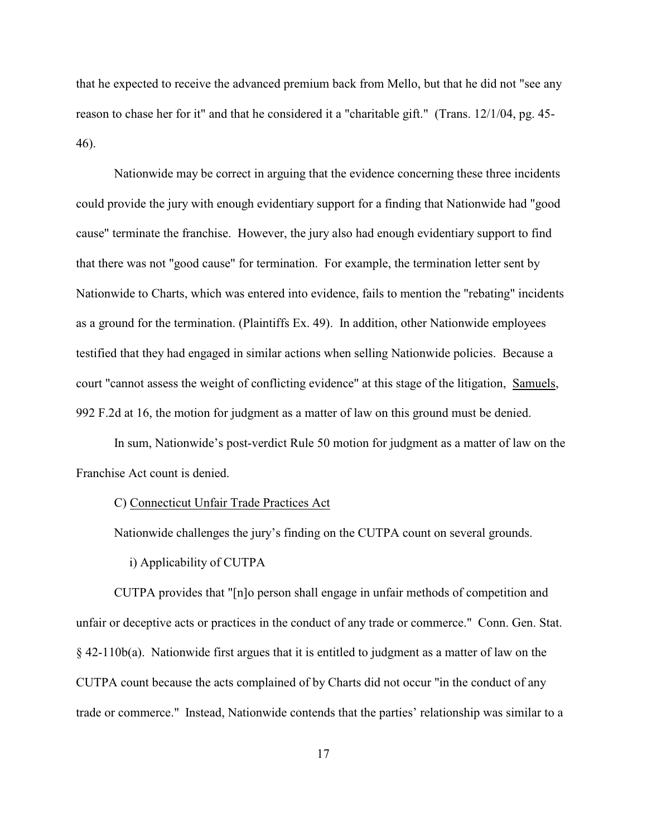that he expected to receive the advanced premium back from Mello, but that he did not "see any reason to chase her for it" and that he considered it a "charitable gift." (Trans. 12/1/04, pg. 45- 46).

Nationwide may be correct in arguing that the evidence concerning these three incidents could provide the jury with enough evidentiary support for a finding that Nationwide had "good cause" terminate the franchise. However, the jury also had enough evidentiary support to find that there was not "good cause" for termination. For example, the termination letter sent by Nationwide to Charts, which was entered into evidence, fails to mention the "rebating" incidents as a ground for the termination. (Plaintiffs Ex. 49). In addition, other Nationwide employees testified that they had engaged in similar actions when selling Nationwide policies. Because a court "cannot assess the weight of conflicting evidence" at this stage of the litigation, Samuels, 992 F.2d at 16, the motion for judgment as a matter of law on this ground must be denied.

In sum, Nationwide's post-verdict Rule 50 motion for judgment as a matter of law on the Franchise Act count is denied.

# C) Connecticut Unfair Trade Practices Act

Nationwide challenges the jury's finding on the CUTPA count on several grounds.

### i) Applicability of CUTPA

CUTPA provides that "[n]o person shall engage in unfair methods of competition and unfair or deceptive acts or practices in the conduct of any trade or commerce." Conn. Gen. Stat.  $§$  42-110b(a). Nationwide first argues that it is entitled to judgment as a matter of law on the CUTPA count because the acts complained of by Charts did not occur "in the conduct of any trade or commerce." Instead, Nationwide contends that the parties' relationship was similar to a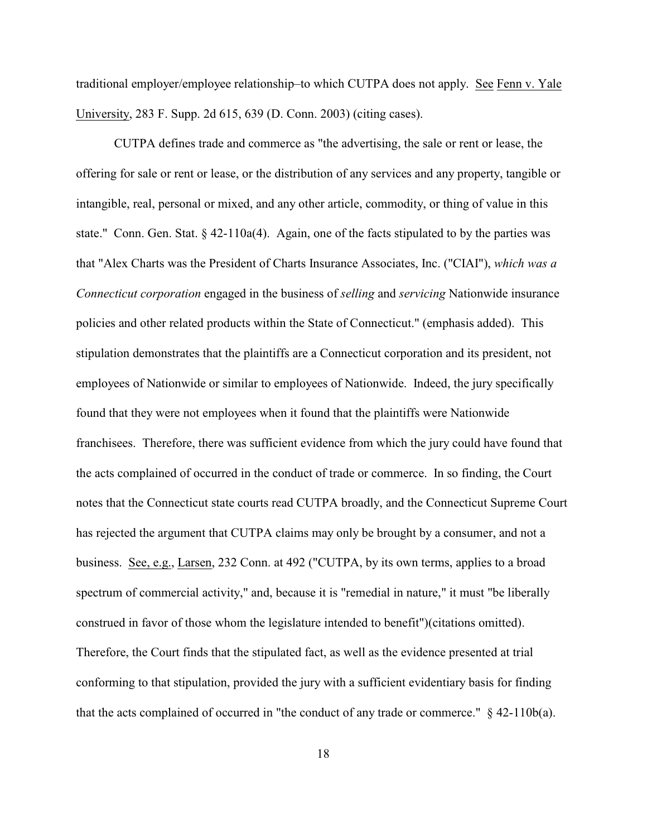traditional employer/employee relationship–to which CUTPA does not apply. See Fenn v. Yale University, 283 F. Supp. 2d 615, 639 (D. Conn. 2003) (citing cases).

CUTPA defines trade and commerce as "the advertising, the sale or rent or lease, the offering for sale or rent or lease, or the distribution of any services and any property, tangible or intangible, real, personal or mixed, and any other article, commodity, or thing of value in this state." Conn. Gen. Stat.  $\S$  42-110a(4). Again, one of the facts stipulated to by the parties was that "Alex Charts was the President of Charts Insurance Associates, Inc. ("CIAI"), *which was a Connecticut corporation* engaged in the business of *selling* and *servicing* Nationwide insurance policies and other related products within the State of Connecticut." (emphasis added). This stipulation demonstrates that the plaintiffs are a Connecticut corporation and its president, not employees of Nationwide or similar to employees of Nationwide. Indeed, the jury specifically found that they were not employees when it found that the plaintiffs were Nationwide franchisees. Therefore, there was sufficient evidence from which the jury could have found that the acts complained of occurred in the conduct of trade or commerce. In so finding, the Court notes that the Connecticut state courts read CUTPA broadly, and the Connecticut Supreme Court has rejected the argument that CUTPA claims may only be brought by a consumer, and not a business. See, e.g., Larsen, 232 Conn. at 492 ("CUTPA, by its own terms, applies to a broad spectrum of commercial activity," and, because it is "remedial in nature," it must "be liberally construed in favor of those whom the legislature intended to benefit")(citations omitted). Therefore, the Court finds that the stipulated fact, as well as the evidence presented at trial conforming to that stipulation, provided the jury with a sufficient evidentiary basis for finding that the acts complained of occurred in "the conduct of any trade or commerce." § 42-110b(a).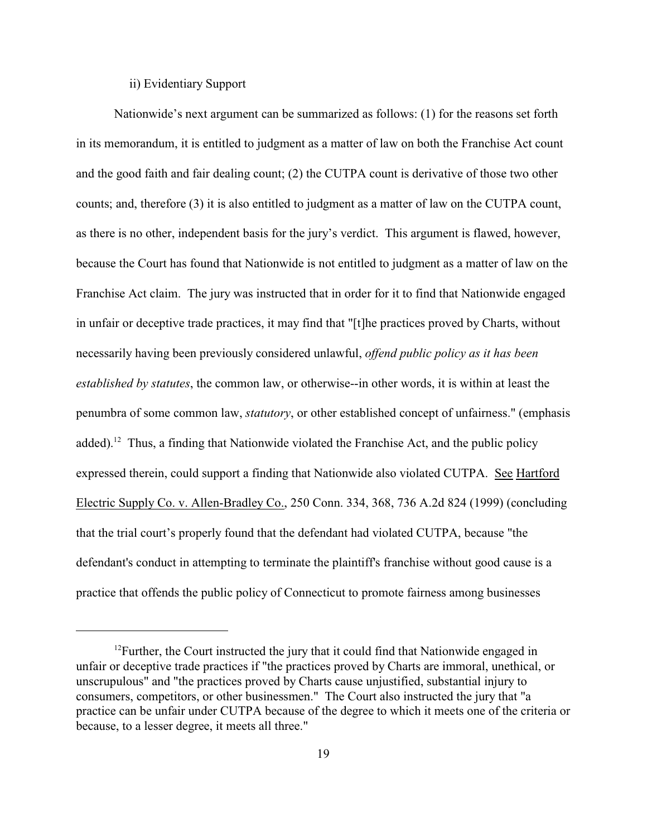## ii) Evidentiary Support

Nationwide's next argument can be summarized as follows: (1) for the reasons set forth in its memorandum, it is entitled to judgment as a matter of law on both the Franchise Act count and the good faith and fair dealing count; (2) the CUTPA count is derivative of those two other counts; and, therefore (3) it is also entitled to judgment as a matter of law on the CUTPA count, as there is no other, independent basis for the jury's verdict. This argument is flawed, however, because the Court has found that Nationwide is not entitled to judgment as a matter of law on the Franchise Act claim. The jury was instructed that in order for it to find that Nationwide engaged in unfair or deceptive trade practices, it may find that "[t]he practices proved by Charts, without necessarily having been previously considered unlawful, *offend public policy as it has been established by statutes*, the common law, or otherwise--in other words, it is within at least the penumbra of some common law, *statutory*, or other established concept of unfairness." (emphasis added).<sup>12</sup> Thus, a finding that Nationwide violated the Franchise Act, and the public policy expressed therein, could support a finding that Nationwide also violated CUTPA. See Hartford Electric Supply Co. v. Allen-Bradley Co., 250 Conn. 334, 368, 736 A.2d 824 (1999) (concluding that the trial court's properly found that the defendant had violated CUTPA, because "the defendant's conduct in attempting to terminate the plaintiff's franchise without good cause is a practice that offends the public policy of Connecticut to promote fairness among businesses

 $12$  Further, the Court instructed the jury that it could find that Nationwide engaged in unfair or deceptive trade practices if "the practices proved by Charts are immoral, unethical, or unscrupulous" and "the practices proved by Charts cause unjustified, substantial injury to consumers, competitors, or other businessmen." The Court also instructed the jury that "a practice can be unfair under CUTPA because of the degree to which it meets one of the criteria or because, to a lesser degree, it meets all three."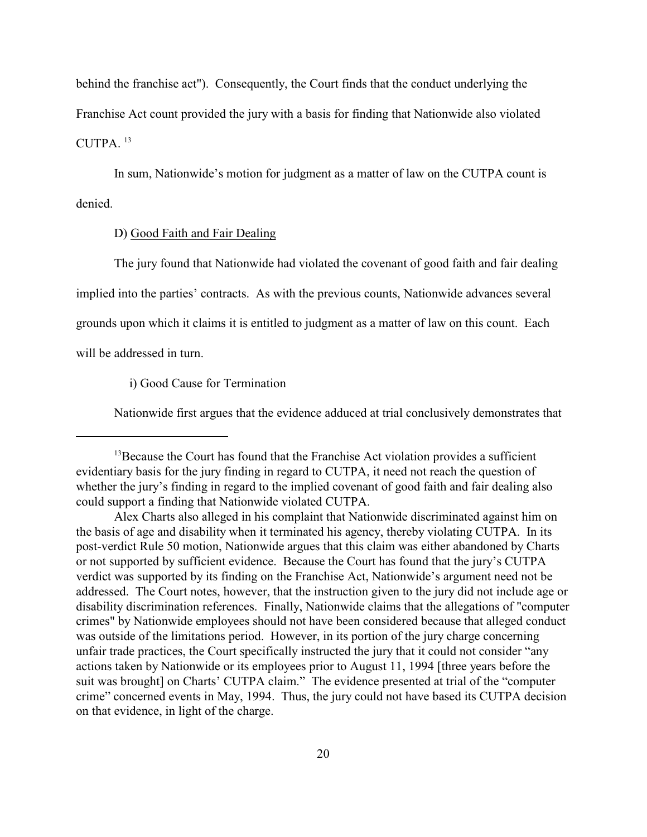behind the franchise act"). Consequently, the Court finds that the conduct underlying the Franchise Act count provided the jury with a basis for finding that Nationwide also violated CUTPA. <sup>13</sup>

In sum, Nationwide's motion for judgment as a matter of law on the CUTPA count is denied.

### D) Good Faith and Fair Dealing

The jury found that Nationwide had violated the covenant of good faith and fair dealing implied into the parties' contracts. As with the previous counts, Nationwide advances several grounds upon which it claims it is entitled to judgment as a matter of law on this count. Each will be addressed in turn.

i) Good Cause for Termination

Nationwide first argues that the evidence adduced at trial conclusively demonstrates that

 $^{13}$ Because the Court has found that the Franchise Act violation provides a sufficient evidentiary basis for the jury finding in regard to CUTPA, it need not reach the question of whether the jury's finding in regard to the implied covenant of good faith and fair dealing also could support a finding that Nationwide violated CUTPA.

Alex Charts also alleged in his complaint that Nationwide discriminated against him on the basis of age and disability when it terminated his agency, thereby violating CUTPA. In its post-verdict Rule 50 motion, Nationwide argues that this claim was either abandoned by Charts or not supported by sufficient evidence. Because the Court has found that the jury's CUTPA verdict was supported by its finding on the Franchise Act, Nationwide's argument need not be addressed. The Court notes, however, that the instruction given to the jury did not include age or disability discrimination references. Finally, Nationwide claims that the allegations of "computer crimes" by Nationwide employees should not have been considered because that alleged conduct was outside of the limitations period. However, in its portion of the jury charge concerning unfair trade practices, the Court specifically instructed the jury that it could not consider "any actions taken by Nationwide or its employees prior to August 11, 1994 [three years before the suit was brought] on Charts' CUTPA claim." The evidence presented at trial of the "computer crime" concerned events in May, 1994. Thus, the jury could not have based its CUTPA decision on that evidence, in light of the charge.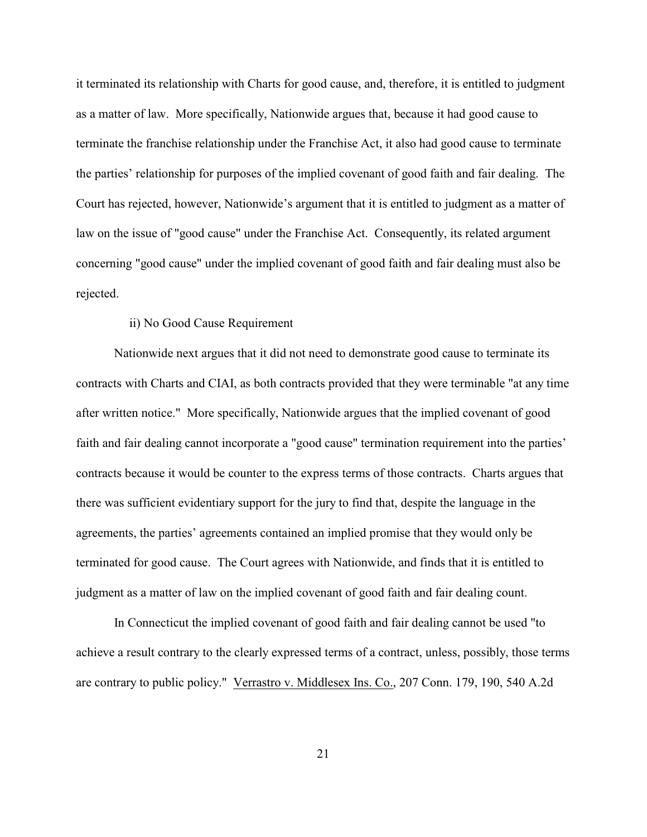it terminated its relationship with Charts for good cause, and, therefore, it is entitled to judgment as a matter of law. More specifically, Nationwide argues that, because it had good cause to terminate the franchise relationship under the Franchise Act, it also had good cause to terminate the parties' relationship for purposes of the implied covenant of good faith and fair dealing. The Court has rejected, however, Nationwide's argument that it is entitled to judgment as a matter of law on the issue of "good cause" under the Franchise Act. Consequently, its related argument concerning "good cause" under the implied covenant of good faith and fair dealing must also be rejected.

## ii) No Good Cause Requirement

Nationwide next argues that it did not need to demonstrate good cause to terminate its contracts with Charts and CIAI, as both contracts provided that they were terminable "at any time after written notice." More specifically, Nationwide argues that the implied covenant of good faith and fair dealing cannot incorporate a "good cause" termination requirement into the parties' contracts because it would be counter to the express terms of those contracts. Charts argues that there was sufficient evidentiary support for the jury to find that, despite the language in the agreements, the parties' agreements contained an implied promise that they would only be terminated for good cause. The Court agrees with Nationwide, and finds that it is entitled to judgment as a matter of law on the implied covenant of good faith and fair dealing count.

In Connecticut the implied covenant of good faith and fair dealing cannot be used "to achieve a result contrary to the clearly expressed terms of a contract, unless, possibly, those terms are contrary to public policy." Verrastro v. Middlesex Ins. Co., 207 Conn. 179, 190, 540 A.2d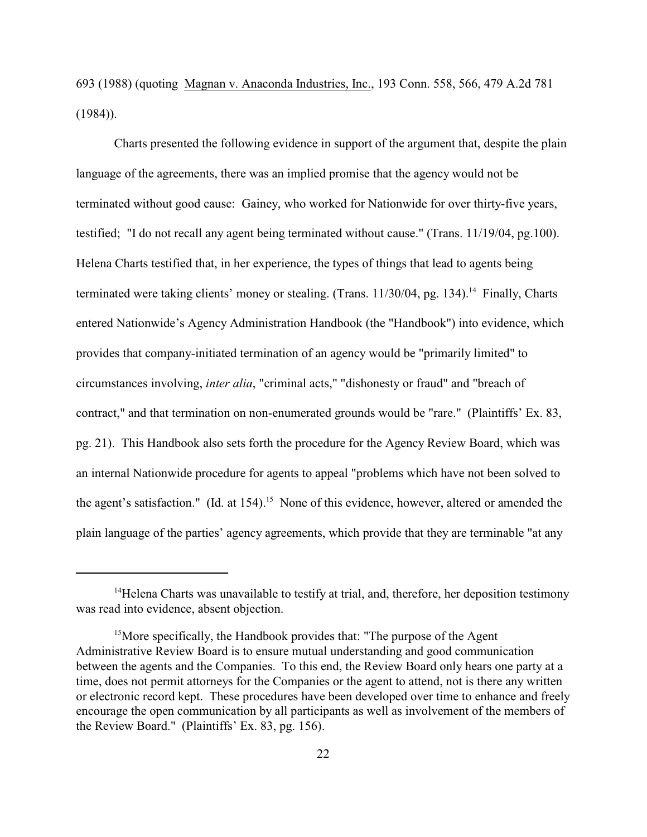693 (1988) (quoting Magnan v. Anaconda Industries, Inc., 193 Conn. 558, 566, 479 A.2d 781  $(1984)$ ).

Charts presented the following evidence in support of the argument that, despite the plain language of the agreements, there was an implied promise that the agency would not be terminated without good cause: Gainey, who worked for Nationwide for over thirty-five years, testified; "I do not recall any agent being terminated without cause." (Trans. 11/19/04, pg.100). Helena Charts testified that, in her experience, the types of things that lead to agents being terminated were taking clients' money or stealing. (Trans. 11/30/04, pg. 134).<sup>14</sup> Finally, Charts entered Nationwide's Agency Administration Handbook (the "Handbook") into evidence, which provides that company-initiated termination of an agency would be "primarily limited" to circumstances involving, *inter alia*, "criminal acts," "dishonesty or fraud" and "breach of contract," and that termination on non-enumerated grounds would be "rare." (Plaintiffs' Ex. 83, pg. 21). This Handbook also sets forth the procedure for the Agency Review Board, which was an internal Nationwide procedure for agents to appeal "problems which have not been solved to the agent's satisfaction." (Id. at  $154$ ).<sup>15</sup> None of this evidence, however, altered or amended the plain language of the parties' agency agreements, which provide that they are terminable "at any

 $<sup>14</sup>$ Helena Charts was unavailable to testify at trial, and, therefore, her deposition testimony</sup> was read into evidence, absent objection.

<sup>&</sup>lt;sup>15</sup>More specifically, the Handbook provides that: "The purpose of the Agent Administrative Review Board is to ensure mutual understanding and good communication between the agents and the Companies. To this end, the Review Board only hears one party at a time, does not permit attorneys for the Companies or the agent to attend, not is there any written or electronic record kept. These procedures have been developed over time to enhance and freely encourage the open communication by all participants as well as involvement of the members of the Review Board." (Plaintiffs' Ex. 83, pg. 156).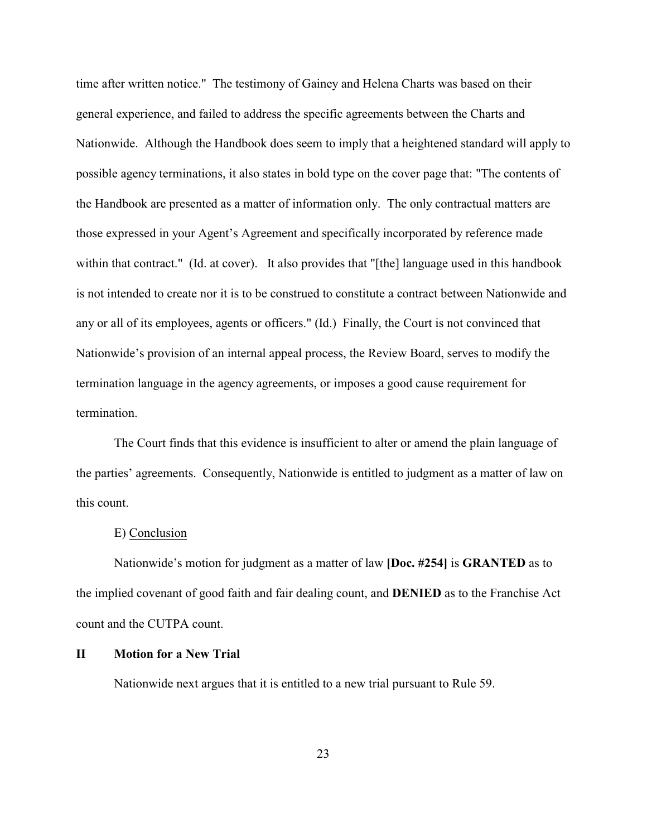time after written notice." The testimony of Gainey and Helena Charts was based on their general experience, and failed to address the specific agreements between the Charts and Nationwide. Although the Handbook does seem to imply that a heightened standard will apply to possible agency terminations, it also states in bold type on the cover page that: "The contents of the Handbook are presented as a matter of information only. The only contractual matters are those expressed in your Agent's Agreement and specifically incorporated by reference made within that contract." (Id. at cover). It also provides that "[the] language used in this handbook is not intended to create nor it is to be construed to constitute a contract between Nationwide and any or all of its employees, agents or officers." (Id.) Finally, the Court is not convinced that Nationwide's provision of an internal appeal process, the Review Board, serves to modify the termination language in the agency agreements, or imposes a good cause requirement for termination.

The Court finds that this evidence is insufficient to alter or amend the plain language of the parties' agreements. Consequently, Nationwide is entitled to judgment as a matter of law on this count.

#### E) Conclusion

Nationwide's motion for judgment as a matter of law **[Doc. #254]** is **GRANTED** as to the implied covenant of good faith and fair dealing count, and **DENIED** as to the Franchise Act count and the CUTPA count.

## **II Motion for a New Trial**

Nationwide next argues that it is entitled to a new trial pursuant to Rule 59.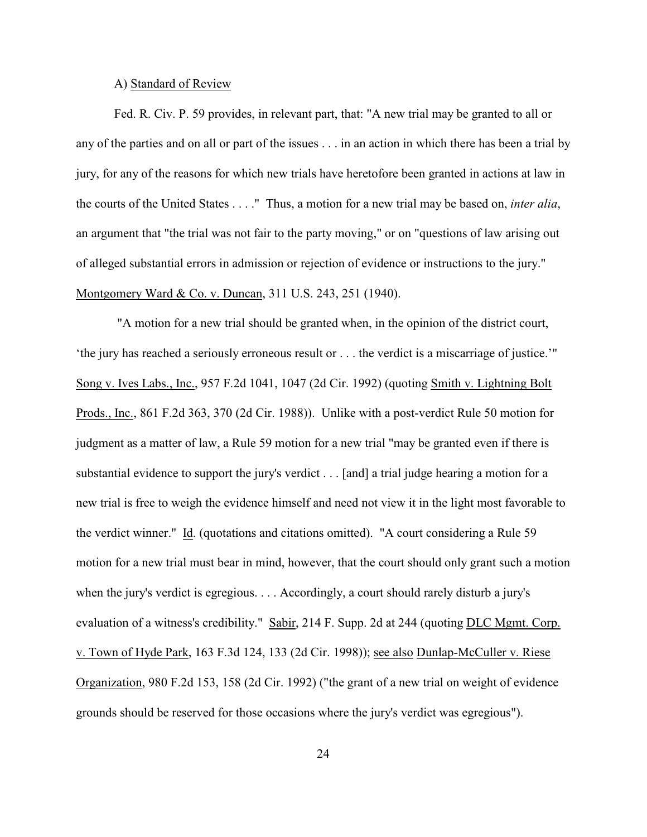#### A) Standard of Review

Fed. R. Civ. P. 59 provides, in relevant part, that: "A new trial may be granted to all or any of the parties and on all or part of the issues . . . in an action in which there has been a trial by jury, for any of the reasons for which new trials have heretofore been granted in actions at law in the courts of the United States . . . ." Thus, a motion for a new trial may be based on, *inter alia*, an argument that "the trial was not fair to the party moving," or on "questions of law arising out of alleged substantial errors in admission or rejection of evidence or instructions to the jury." Montgomery Ward & Co. v. Duncan, 311 U.S. 243, 251 (1940).

 "A motion for a new trial should be granted when, in the opinion of the district court, 'the jury has reached a seriously erroneous result or . . . the verdict is a miscarriage of justice.'" Song v. Ives Labs., Inc., 957 F.2d 1041, 1047 (2d Cir. 1992) (quoting Smith v. Lightning Bolt Prods., Inc., 861 F.2d 363, 370 (2d Cir. 1988)). Unlike with a post-verdict Rule 50 motion for judgment as a matter of law, a Rule 59 motion for a new trial "may be granted even if there is substantial evidence to support the jury's verdict . . . [and] a trial judge hearing a motion for a new trial is free to weigh the evidence himself and need not view it in the light most favorable to the verdict winner." Id. (quotations and citations omitted). "A court considering a Rule 59 motion for a new trial must bear in mind, however, that the court should only grant such a motion when the jury's verdict is egregious. . . . Accordingly, a court should rarely disturb a jury's evaluation of a witness's credibility." Sabir, 214 F. Supp. 2d at 244 (quoting DLC Mgmt. Corp. v. Town of Hyde Park, 163 F.3d 124, 133 (2d Cir. 1998)); see also Dunlap-McCuller v. Riese Organization, 980 F.2d 153, 158 (2d Cir. 1992) ("the grant of a new trial on weight of evidence grounds should be reserved for those occasions where the jury's verdict was egregious").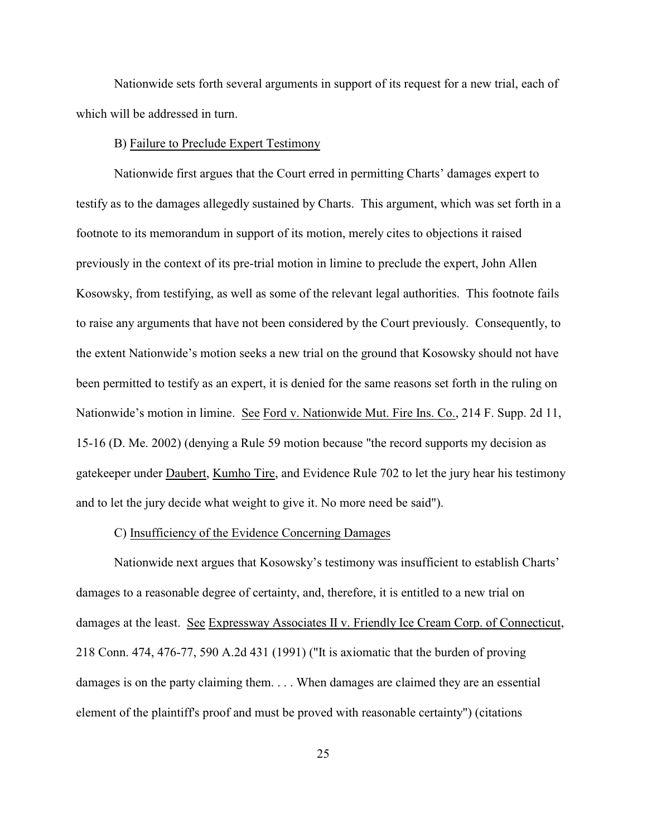Nationwide sets forth several arguments in support of its request for a new trial, each of which will be addressed in turn.

### B) Failure to Preclude Expert Testimony

Nationwide first argues that the Court erred in permitting Charts' damages expert to testify as to the damages allegedly sustained by Charts. This argument, which was set forth in a footnote to its memorandum in support of its motion, merely cites to objections it raised previously in the context of its pre-trial motion in limine to preclude the expert, John Allen Kosowsky, from testifying, as well as some of the relevant legal authorities. This footnote fails to raise any arguments that have not been considered by the Court previously. Consequently, to the extent Nationwide's motion seeks a new trial on the ground that Kosowsky should not have been permitted to testify as an expert, it is denied for the same reasons set forth in the ruling on Nationwide's motion in limine. See Ford v. Nationwide Mut. Fire Ins. Co., 214 F. Supp. 2d 11, 15-16 (D. Me. 2002) (denying a Rule 59 motion because "the record supports my decision as gatekeeper under Daubert, Kumho Tire, and Evidence Rule 702 to let the jury hear his testimony and to let the jury decide what weight to give it. No more need be said").

#### C) Insufficiency of the Evidence Concerning Damages

Nationwide next argues that Kosowsky's testimony was insufficient to establish Charts' damages to a reasonable degree of certainty, and, therefore, it is entitled to a new trial on damages at the least. See Expressway Associates II v. Friendly Ice Cream Corp. of Connecticut, 218 Conn. 474, 476-77, 590 A.2d 431 (1991) ("It is axiomatic that the burden of proving damages is on the party claiming them. . . . When damages are claimed they are an essential element of the plaintiff's proof and must be proved with reasonable certainty") (citations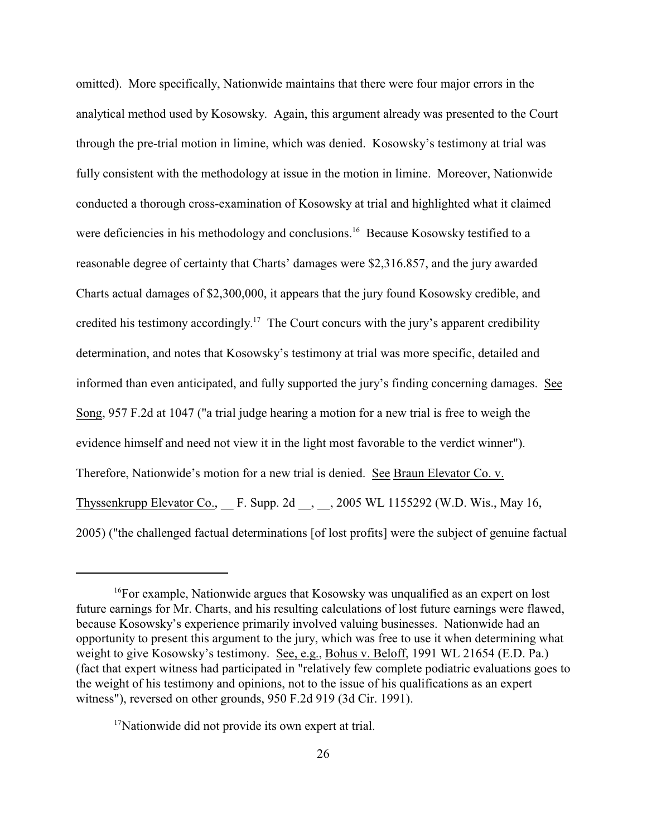omitted). More specifically, Nationwide maintains that there were four major errors in the analytical method used by Kosowsky. Again, this argument already was presented to the Court through the pre-trial motion in limine, which was denied. Kosowsky's testimony at trial was fully consistent with the methodology at issue in the motion in limine. Moreover, Nationwide conducted a thorough cross-examination of Kosowsky at trial and highlighted what it claimed were deficiencies in his methodology and conclusions.<sup>16</sup> Because Kosowsky testified to a reasonable degree of certainty that Charts' damages were \$2,316.857, and the jury awarded Charts actual damages of \$2,300,000, it appears that the jury found Kosowsky credible, and credited his testimony accordingly.<sup>17</sup> The Court concurs with the jury's apparent credibility determination, and notes that Kosowsky's testimony at trial was more specific, detailed and informed than even anticipated, and fully supported the jury's finding concerning damages. See Song, 957 F.2d at 1047 ("a trial judge hearing a motion for a new trial is free to weigh the evidence himself and need not view it in the light most favorable to the verdict winner"). Therefore, Nationwide's motion for a new trial is denied. See Braun Elevator Co. v. Thyssenkrupp Elevator Co., F. Supp. 2d , 3005 WL 1155292 (W.D. Wis., May 16, 2005) ("the challenged factual determinations [of lost profits] were the subject of genuine factual

 $17$ Nationwide did not provide its own expert at trial.

<sup>&</sup>lt;sup>16</sup>For example, Nationwide argues that Kosowsky was unqualified as an expert on lost future earnings for Mr. Charts, and his resulting calculations of lost future earnings were flawed, because Kosowsky's experience primarily involved valuing businesses. Nationwide had an opportunity to present this argument to the jury, which was free to use it when determining what weight to give Kosowsky's testimony. See, e.g., Bohus v. Beloff, 1991 WL 21654 (E.D. Pa.) (fact that expert witness had participated in "relatively few complete podiatric evaluations goes to the weight of his testimony and opinions, not to the issue of his qualifications as an expert witness"), reversed on other grounds, 950 F.2d 919 (3d Cir. 1991).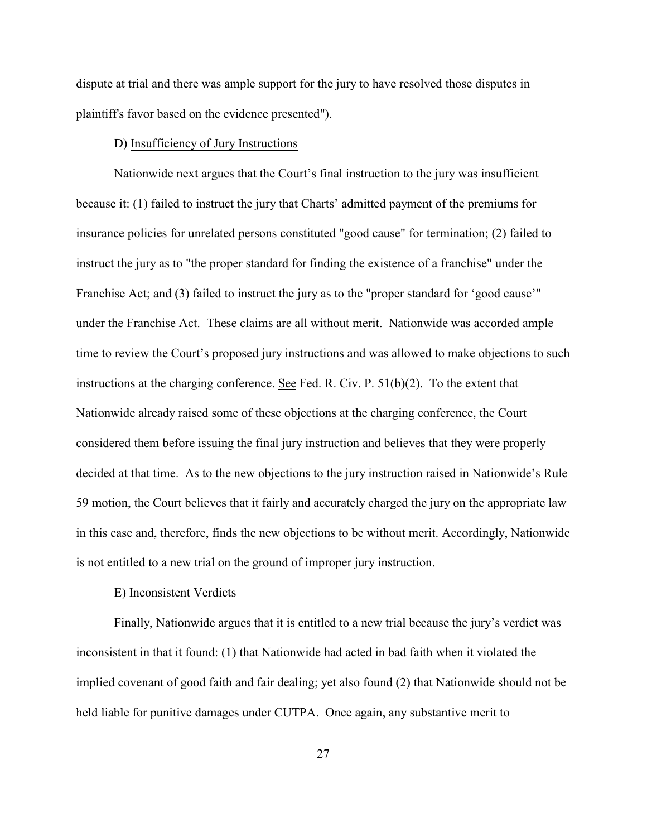dispute at trial and there was ample support for the jury to have resolved those disputes in plaintiff's favor based on the evidence presented").

### D) Insufficiency of Jury Instructions

Nationwide next argues that the Court's final instruction to the jury was insufficient because it: (1) failed to instruct the jury that Charts' admitted payment of the premiums for insurance policies for unrelated persons constituted "good cause" for termination; (2) failed to instruct the jury as to "the proper standard for finding the existence of a franchise" under the Franchise Act; and (3) failed to instruct the jury as to the "proper standard for 'good cause'" under the Franchise Act. These claims are all without merit. Nationwide was accorded ample time to review the Court's proposed jury instructions and was allowed to make objections to such instructions at the charging conference. See Fed. R. Civ. P. 51(b)(2). To the extent that Nationwide already raised some of these objections at the charging conference, the Court considered them before issuing the final jury instruction and believes that they were properly decided at that time. As to the new objections to the jury instruction raised in Nationwide's Rule 59 motion, the Court believes that it fairly and accurately charged the jury on the appropriate law in this case and, therefore, finds the new objections to be without merit. Accordingly, Nationwide is not entitled to a new trial on the ground of improper jury instruction.

# E) Inconsistent Verdicts

Finally, Nationwide argues that it is entitled to a new trial because the jury's verdict was inconsistent in that it found: (1) that Nationwide had acted in bad faith when it violated the implied covenant of good faith and fair dealing; yet also found (2) that Nationwide should not be held liable for punitive damages under CUTPA. Once again, any substantive merit to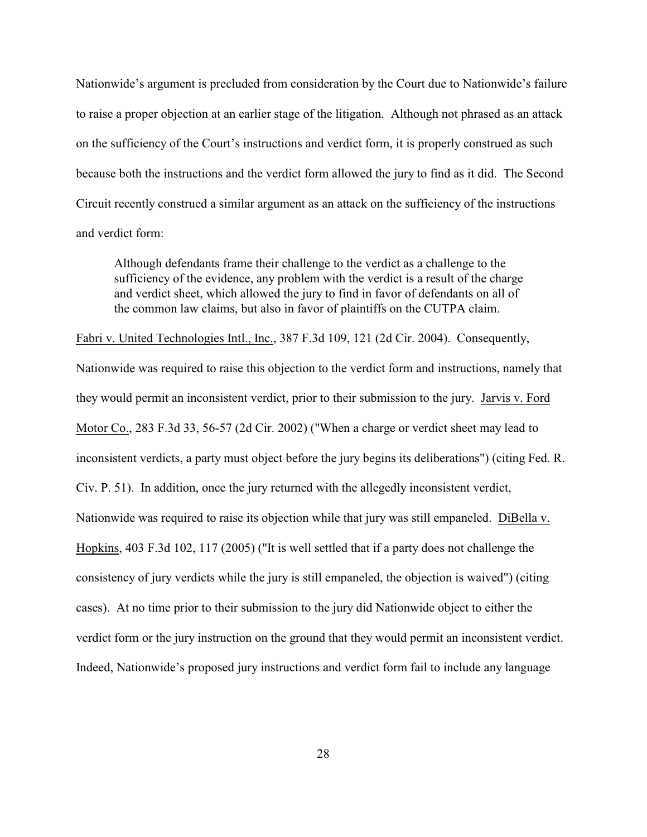Nationwide's argument is precluded from consideration by the Court due to Nationwide's failure to raise a proper objection at an earlier stage of the litigation. Although not phrased as an attack on the sufficiency of the Court's instructions and verdict form, it is properly construed as such because both the instructions and the verdict form allowed the jury to find as it did. The Second Circuit recently construed a similar argument as an attack on the sufficiency of the instructions and verdict form:

Although defendants frame their challenge to the verdict as a challenge to the sufficiency of the evidence, any problem with the verdict is a result of the charge and verdict sheet, which allowed the jury to find in favor of defendants on all of the common law claims, but also in favor of plaintiffs on the CUTPA claim.

Fabri v. United Technologies Intl., Inc., 387 F.3d 109, 121 (2d Cir. 2004). Consequently, Nationwide was required to raise this objection to the verdict form and instructions, namely that they would permit an inconsistent verdict, prior to their submission to the jury. Jarvis v. Ford Motor Co., 283 F.3d 33, 56-57 (2d Cir. 2002) ("When a charge or verdict sheet may lead to inconsistent verdicts, a party must object before the jury begins its deliberations") (citing Fed. R. Civ. P. 51). In addition, once the jury returned with the allegedly inconsistent verdict, Nationwide was required to raise its objection while that jury was still empaneled. DiBella v. Hopkins, 403 F.3d 102, 117 (2005) ("It is well settled that if a party does not challenge the consistency of jury verdicts while the jury is still empaneled, the objection is waived") (citing cases). At no time prior to their submission to the jury did Nationwide object to either the verdict form or the jury instruction on the ground that they would permit an inconsistent verdict. Indeed, Nationwide's proposed jury instructions and verdict form fail to include any language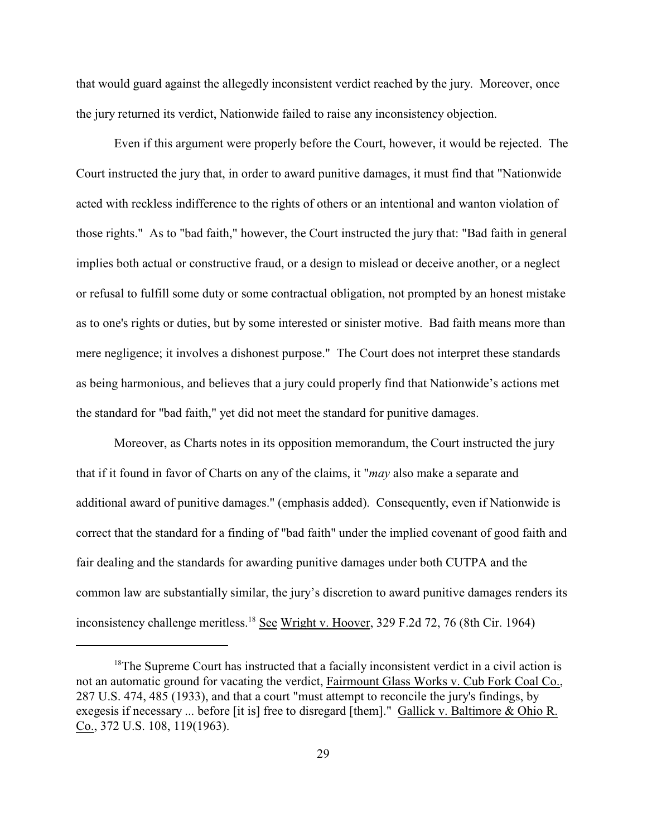that would guard against the allegedly inconsistent verdict reached by the jury. Moreover, once the jury returned its verdict, Nationwide failed to raise any inconsistency objection.

Even if this argument were properly before the Court, however, it would be rejected. The Court instructed the jury that, in order to award punitive damages, it must find that "Nationwide acted with reckless indifference to the rights of others or an intentional and wanton violation of those rights." As to "bad faith," however, the Court instructed the jury that: "Bad faith in general implies both actual or constructive fraud, or a design to mislead or deceive another, or a neglect or refusal to fulfill some duty or some contractual obligation, not prompted by an honest mistake as to one's rights or duties, but by some interested or sinister motive. Bad faith means more than mere negligence; it involves a dishonest purpose." The Court does not interpret these standards as being harmonious, and believes that a jury could properly find that Nationwide's actions met the standard for "bad faith," yet did not meet the standard for punitive damages.

Moreover, as Charts notes in its opposition memorandum, the Court instructed the jury that if it found in favor of Charts on any of the claims, it "*may* also make a separate and additional award of punitive damages." (emphasis added). Consequently, even if Nationwide is correct that the standard for a finding of "bad faith" under the implied covenant of good faith and fair dealing and the standards for awarding punitive damages under both CUTPA and the common law are substantially similar, the jury's discretion to award punitive damages renders its inconsistency challenge meritless. <sup>18</sup> See Wright v. Hoover, 329 F.2d 72, 76 (8th Cir. 1964)

 $18$ The Supreme Court has instructed that a facially inconsistent verdict in a civil action is not an automatic ground for vacating the verdict, Fairmount Glass Works v. Cub Fork Coal Co., 287 U.S. 474, 485 (1933), and that a court "must attempt to reconcile the jury's findings, by exegesis if necessary ... before [it is] free to disregard [them]." Gallick v. Baltimore & Ohio R. Co., 372 U.S. 108, 119(1963).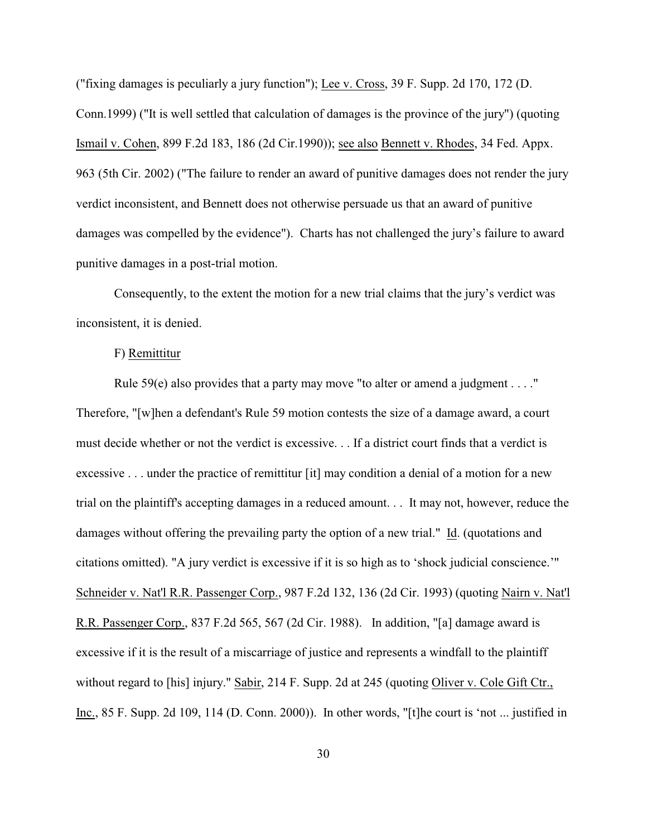("fixing damages is peculiarly a jury function"); Lee v. Cross, 39 F. Supp. 2d 170, 172 (D. Conn.1999) ("It is well settled that calculation of damages is the province of the jury") (quoting Ismail v. Cohen, 899 F.2d 183, 186 (2d Cir.1990)); see also Bennett v. Rhodes, 34 Fed. Appx. 963 (5th Cir. 2002) ("The failure to render an award of punitive damages does not render the jury verdict inconsistent, and Bennett does not otherwise persuade us that an award of punitive damages was compelled by the evidence"). Charts has not challenged the jury's failure to award punitive damages in a post-trial motion.

Consequently, to the extent the motion for a new trial claims that the jury's verdict was inconsistent, it is denied.

#### F) Remittitur

Rule 59(e) also provides that a party may move "to alter or amend a judgment . . . ." Therefore, "[w]hen a defendant's Rule 59 motion contests the size of a damage award, a court must decide whether or not the verdict is excessive. . . If a district court finds that a verdict is excessive . . . under the practice of remittitur [it] may condition a denial of a motion for a new trial on the plaintiff's accepting damages in a reduced amount. . . It may not, however, reduce the damages without offering the prevailing party the option of a new trial." Id. (quotations and citations omitted). "A jury verdict is excessive if it is so high as to 'shock judicial conscience.'" Schneider v. Nat'l R.R. Passenger Corp., 987 F.2d 132, 136 (2d Cir. 1993) (quoting Nairn v. Nat'l R.R. Passenger Corp., 837 F.2d 565, 567 (2d Cir. 1988). In addition, "[a] damage award is excessive if it is the result of a miscarriage of justice and represents a windfall to the plaintiff without regard to [his] injury." Sabir, 214 F. Supp. 2d at 245 (quoting Oliver v. Cole Gift Ctr., Inc., 85 F. Supp. 2d 109, 114 (D. Conn. 2000)). In other words, "[t]he court is 'not ... justified in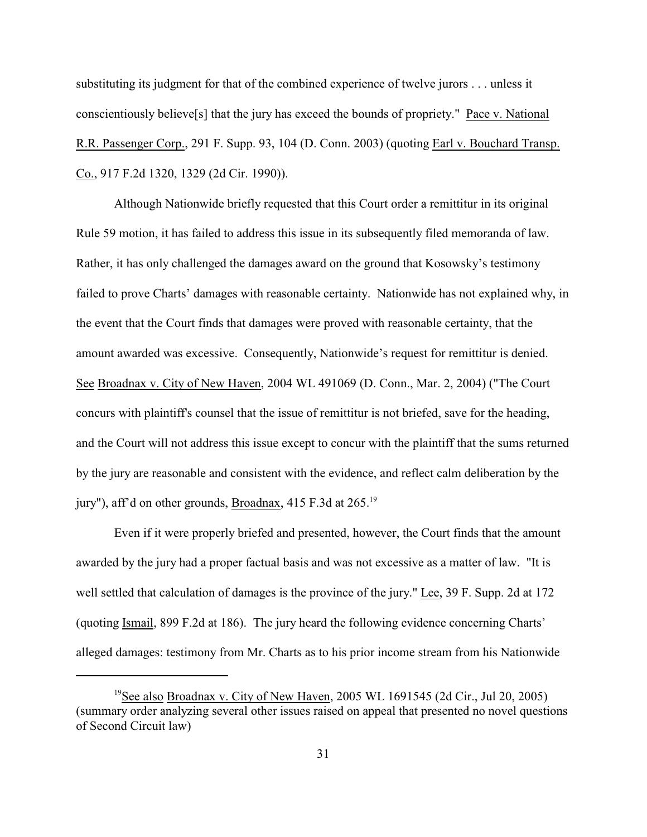substituting its judgment for that of the combined experience of twelve jurors . . . unless it conscientiously believe[s] that the jury has exceed the bounds of propriety." Pace v. National R.R. Passenger Corp., 291 F. Supp. 93, 104 (D. Conn. 2003) (quoting Earl v. Bouchard Transp. Co., 917 F.2d 1320, 1329 (2d Cir. 1990)).

Although Nationwide briefly requested that this Court order a remittitur in its original Rule 59 motion, it has failed to address this issue in its subsequently filed memoranda of law. Rather, it has only challenged the damages award on the ground that Kosowsky's testimony failed to prove Charts' damages with reasonable certainty. Nationwide has not explained why, in the event that the Court finds that damages were proved with reasonable certainty, that the amount awarded was excessive. Consequently, Nationwide's request for remittitur is denied. See Broadnax v. City of New Haven, 2004 WL 491069 (D. Conn., Mar. 2, 2004) ("The Court concurs with plaintiff's counsel that the issue of remittitur is not briefed, save for the heading, and the Court will not address this issue except to concur with the plaintiff that the sums returned by the jury are reasonable and consistent with the evidence, and reflect calm deliberation by the jury"), aff'd on other grounds, Broadnax, 415 F.3d at 265.<sup>19</sup>

Even if it were properly briefed and presented, however, the Court finds that the amount awarded by the jury had a proper factual basis and was not excessive as a matter of law. "It is well settled that calculation of damages is the province of the jury." Lee, 39 F. Supp. 2d at 172 (quoting Ismail, 899 F.2d at 186). The jury heard the following evidence concerning Charts' alleged damages: testimony from Mr. Charts as to his prior income stream from his Nationwide

<sup>&</sup>lt;sup>19</sup>See also Broadnax v. City of New Haven, 2005 WL 1691545 (2d Cir., Jul 20, 2005) (summary order analyzing several other issues raised on appeal that presented no novel questions of Second Circuit law)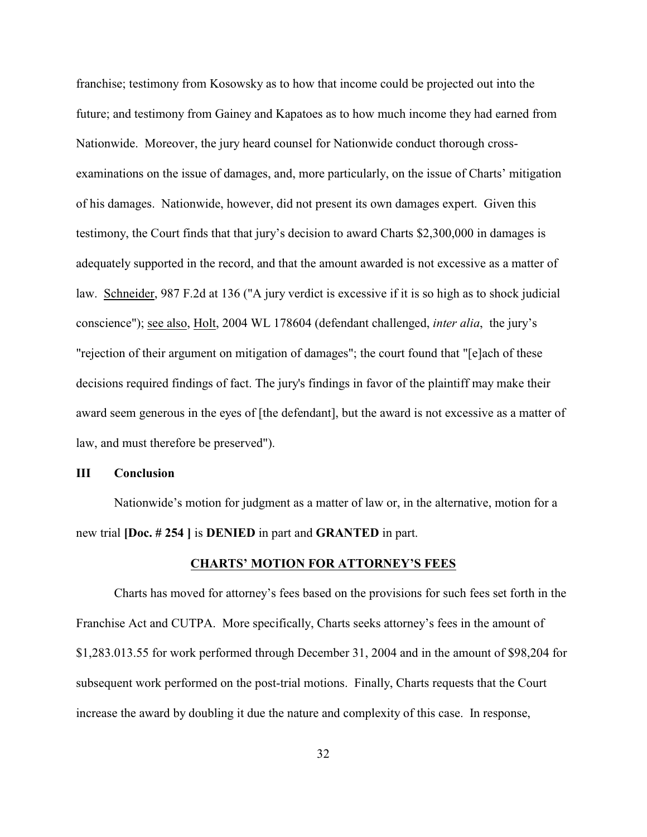franchise; testimony from Kosowsky as to how that income could be projected out into the future; and testimony from Gainey and Kapatoes as to how much income they had earned from Nationwide. Moreover, the jury heard counsel for Nationwide conduct thorough crossexaminations on the issue of damages, and, more particularly, on the issue of Charts' mitigation of his damages. Nationwide, however, did not present its own damages expert. Given this testimony, the Court finds that that jury's decision to award Charts \$2,300,000 in damages is adequately supported in the record, and that the amount awarded is not excessive as a matter of law. Schneider, 987 F.2d at 136 ("A jury verdict is excessive if it is so high as to shock judicial conscience"); see also, Holt, 2004 WL 178604 (defendant challenged, *inter alia*, the jury's "rejection of their argument on mitigation of damages"; the court found that "[e]ach of these decisions required findings of fact. The jury's findings in favor of the plaintiff may make their award seem generous in the eyes of [the defendant], but the award is not excessive as a matter of law, and must therefore be preserved").

### **III Conclusion**

Nationwide's motion for judgment as a matter of law or, in the alternative, motion for a new trial **[Doc. # 254 ]** is **DENIED** in part and **GRANTED** in part.

## **CHARTS' MOTION FOR ATTORNEY'S FEES**

Charts has moved for attorney's fees based on the provisions for such fees set forth in the Franchise Act and CUTPA. More specifically, Charts seeks attorney's fees in the amount of \$1,283.013.55 for work performed through December 31, 2004 and in the amount of \$98,204 for subsequent work performed on the post-trial motions. Finally, Charts requests that the Court increase the award by doubling it due the nature and complexity of this case. In response,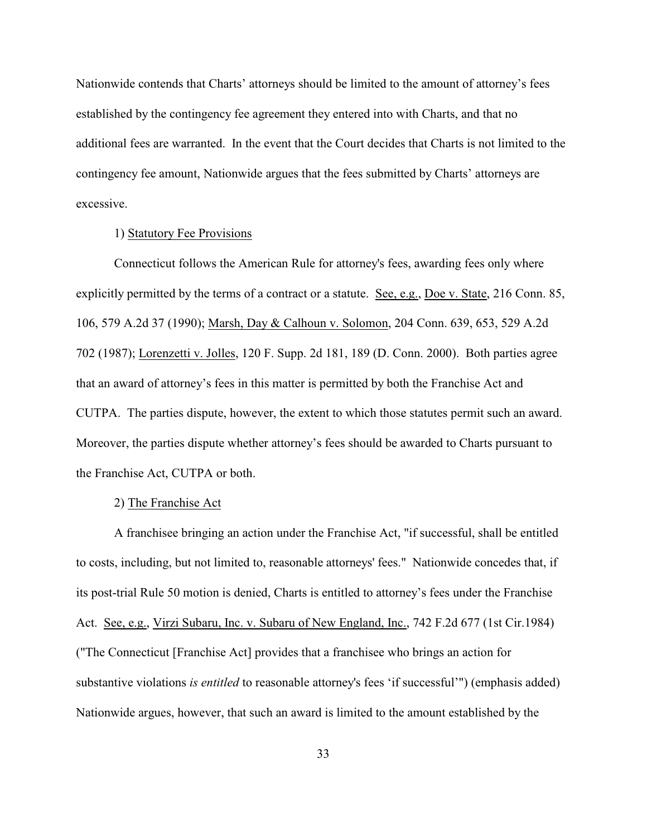Nationwide contends that Charts' attorneys should be limited to the amount of attorney's fees established by the contingency fee agreement they entered into with Charts, and that no additional fees are warranted. In the event that the Court decides that Charts is not limited to the contingency fee amount, Nationwide argues that the fees submitted by Charts' attorneys are excessive.

### 1) Statutory Fee Provisions

Connecticut follows the American Rule for attorney's fees, awarding fees only where explicitly permitted by the terms of a contract or a statute. See, e.g., Doe v. State, 216 Conn. 85, 106, 579 A.2d 37 (1990); Marsh, Day & Calhoun v. Solomon, 204 Conn. 639, 653, 529 A.2d 702 (1987); Lorenzetti v. Jolles, 120 F. Supp. 2d 181, 189 (D. Conn. 2000). Both parties agree that an award of attorney's fees in this matter is permitted by both the Franchise Act and CUTPA. The parties dispute, however, the extent to which those statutes permit such an award. Moreover, the parties dispute whether attorney's fees should be awarded to Charts pursuant to the Franchise Act, CUTPA or both.

# 2) The Franchise Act

A franchisee bringing an action under the Franchise Act, "if successful, shall be entitled to costs, including, but not limited to, reasonable attorneys' fees." Nationwide concedes that, if its post-trial Rule 50 motion is denied, Charts is entitled to attorney's fees under the Franchise Act. See, e.g., Virzi Subaru, Inc. v. Subaru of New England, Inc., 742 F.2d 677 (1st Cir.1984) ("The Connecticut [Franchise Act] provides that a franchisee who brings an action for substantive violations *is entitled* to reasonable attorney's fees 'if successful'") (emphasis added) Nationwide argues, however, that such an award is limited to the amount established by the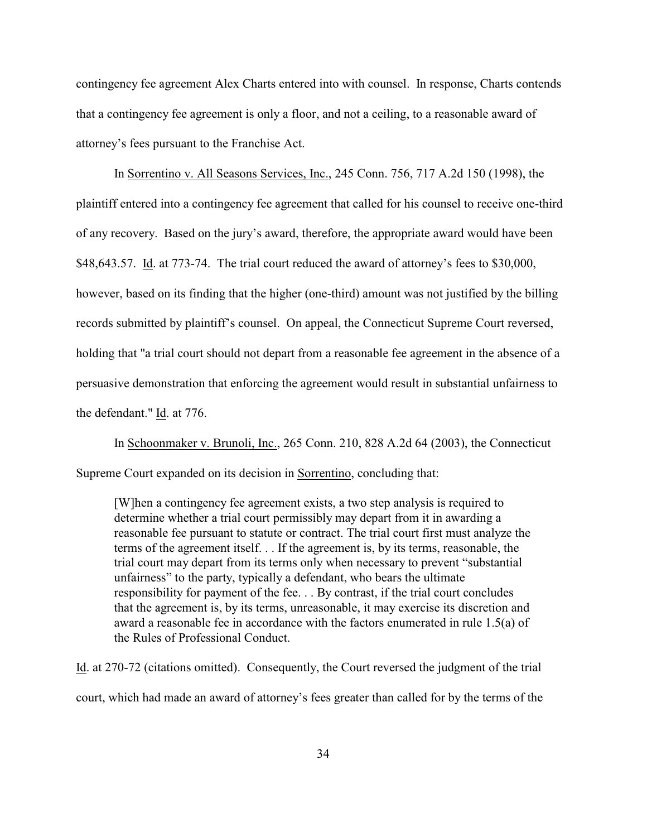contingency fee agreement Alex Charts entered into with counsel. In response, Charts contends that a contingency fee agreement is only a floor, and not a ceiling, to a reasonable award of attorney's fees pursuant to the Franchise Act.

In Sorrentino v. All Seasons Services, Inc., 245 Conn. 756, 717 A.2d 150 (1998), the plaintiff entered into a contingency fee agreement that called for his counsel to receive one-third of any recovery. Based on the jury's award, therefore, the appropriate award would have been \$48,643.57. Id. at 773-74. The trial court reduced the award of attorney's fees to \$30,000, however, based on its finding that the higher (one-third) amount was not justified by the billing records submitted by plaintiff's counsel. On appeal, the Connecticut Supreme Court reversed, holding that "a trial court should not depart from a reasonable fee agreement in the absence of a persuasive demonstration that enforcing the agreement would result in substantial unfairness to the defendant." Id. at 776.

In Schoonmaker v. Brunoli, Inc., 265 Conn. 210, 828 A.2d 64 (2003), the Connecticut Supreme Court expanded on its decision in Sorrentino, concluding that:

[W]hen a contingency fee agreement exists, a two step analysis is required to determine whether a trial court permissibly may depart from it in awarding a reasonable fee pursuant to statute or contract. The trial court first must analyze the terms of the agreement itself. . . If the agreement is, by its terms, reasonable, the trial court may depart from its terms only when necessary to prevent "substantial unfairness" to the party, typically a defendant, who bears the ultimate responsibility for payment of the fee. . . By contrast, if the trial court concludes that the agreement is, by its terms, unreasonable, it may exercise its discretion and award a reasonable fee in accordance with the factors enumerated in rule 1.5(a) of the Rules of Professional Conduct.

Id. at 270-72 (citations omitted). Consequently, the Court reversed the judgment of the trial court, which had made an award of attorney's fees greater than called for by the terms of the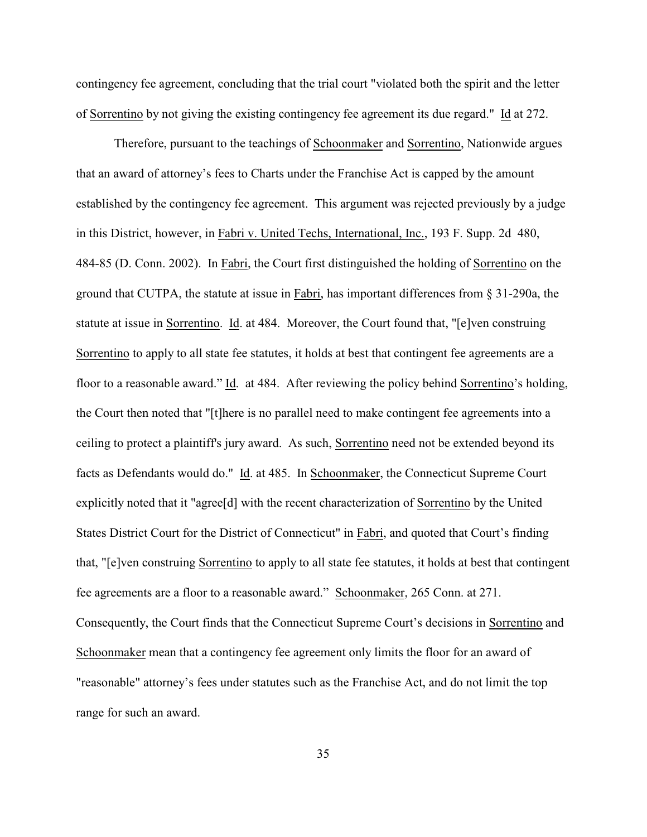contingency fee agreement, concluding that the trial court "violated both the spirit and the letter of Sorrentino by not giving the existing contingency fee agreement its due regard." Id at 272.

Therefore, pursuant to the teachings of Schoonmaker and Sorrentino, Nationwide argues that an award of attorney's fees to Charts under the Franchise Act is capped by the amount established by the contingency fee agreement. This argument was rejected previously by a judge in this District, however, in Fabri v. United Techs, International, Inc., 193 F. Supp. 2d 480, 484-85 (D. Conn. 2002). In Fabri, the Court first distinguished the holding of Sorrentino on the ground that CUTPA, the statute at issue in Fabri, has important differences from § 31-290a, the statute at issue in Sorrentino. Id. at 484. Moreover, the Court found that, "[e]ven construing Sorrentino to apply to all state fee statutes, it holds at best that contingent fee agreements are a floor to a reasonable award." Id. at 484. After reviewing the policy behind Sorrentino's holding, the Court then noted that "[t]here is no parallel need to make contingent fee agreements into a ceiling to protect a plaintiff's jury award. As such, Sorrentino need not be extended beyond its facts as Defendants would do." Id. at 485. In Schoonmaker, the Connecticut Supreme Court explicitly noted that it "agree[d] with the recent characterization of Sorrentino by the United States District Court for the District of Connecticut" in Fabri, and quoted that Court's finding that, "[e]ven construing Sorrentino to apply to all state fee statutes, it holds at best that contingent fee agreements are a floor to a reasonable award." Schoonmaker, 265 Conn. at 271. Consequently, the Court finds that the Connecticut Supreme Court's decisions in Sorrentino and Schoonmaker mean that a contingency fee agreement only limits the floor for an award of "reasonable" attorney's fees under statutes such as the Franchise Act, and do not limit the top range for such an award.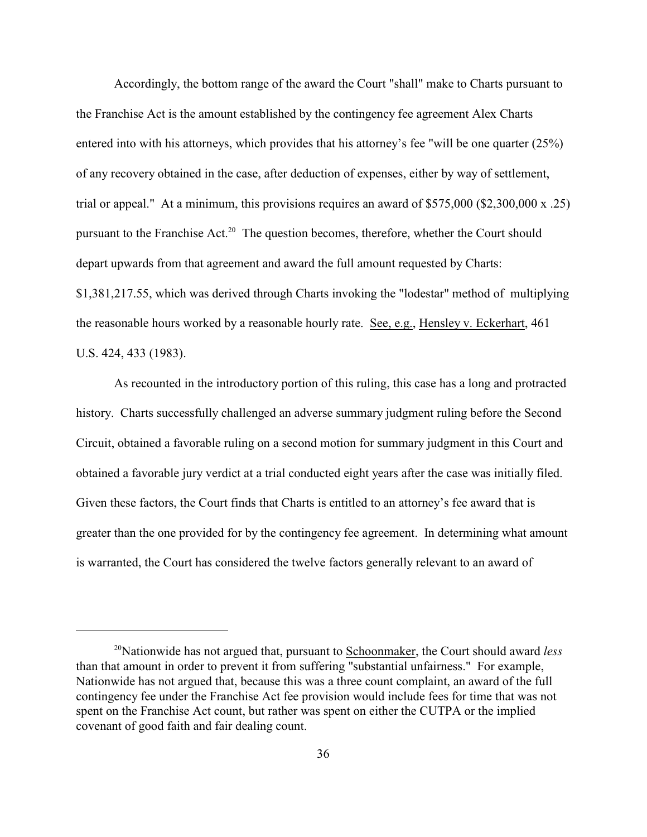Accordingly, the bottom range of the award the Court "shall" make to Charts pursuant to the Franchise Act is the amount established by the contingency fee agreement Alex Charts entered into with his attorneys, which provides that his attorney's fee "will be one quarter  $(25%)$ of any recovery obtained in the case, after deduction of expenses, either by way of settlement, trial or appeal." At a minimum, this provisions requires an award of \$575,000 (\$2,300,000 x .25) pursuant to the Franchise Act.<sup>20</sup> The question becomes, therefore, whether the Court should depart upwards from that agreement and award the full amount requested by Charts: \$1,381,217.55, which was derived through Charts invoking the "lodestar" method of multiplying the reasonable hours worked by a reasonable hourly rate. See, e.g., Hensley v. Eckerhart, 461 U.S. 424, 433 (1983).

As recounted in the introductory portion of this ruling, this case has a long and protracted history. Charts successfully challenged an adverse summary judgment ruling before the Second Circuit, obtained a favorable ruling on a second motion for summary judgment in this Court and obtained a favorable jury verdict at a trial conducted eight years after the case was initially filed. Given these factors, the Court finds that Charts is entitled to an attorney's fee award that is greater than the one provided for by the contingency fee agreement. In determining what amount is warranted, the Court has considered the twelve factors generally relevant to an award of

<sup>&</sup>lt;sup>20</sup>Nationwide has not argued that, pursuant to Schoonmaker, the Court should award *less* than that amount in order to prevent it from suffering "substantial unfairness." For example, Nationwide has not argued that, because this was a three count complaint, an award of the full contingency fee under the Franchise Act fee provision would include fees for time that was not spent on the Franchise Act count, but rather was spent on either the CUTPA or the implied covenant of good faith and fair dealing count.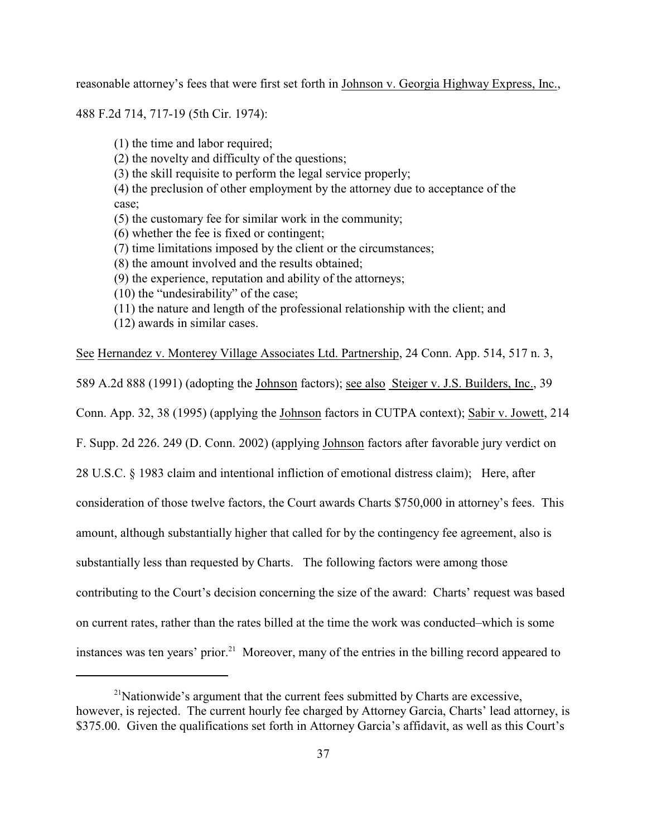reasonable attorney's fees that were first set forth in Johnson v. Georgia Highway Express, Inc.,

488 F.2d 714, 717-19 (5th Cir. 1974):

(1) the time and labor required;

(2) the novelty and difficulty of the questions;

(3) the skill requisite to perform the legal service properly;

(4) the preclusion of other employment by the attorney due to acceptance of the case;

- (5) the customary fee for similar work in the community;
- (6) whether the fee is fixed or contingent;
- (7) time limitations imposed by the client or the circumstances;
- (8) the amount involved and the results obtained;
- (9) the experience, reputation and ability of the attorneys;
- (10) the "undesirability" of the case;
- (11) the nature and length of the professional relationship with the client; and
- (12) awards in similar cases.

See Hernandez v. Monterey Village Associates Ltd. Partnership, 24 Conn. App. 514, 517 n. 3,

589 A.2d 888 (1991) (adopting the Johnson factors); see also Steiger v. J.S. Builders, Inc., 39

Conn. App. 32, 38 (1995) (applying the Johnson factors in CUTPA context); Sabir v. Jowett, 214

F. Supp. 2d 226. 249 (D. Conn. 2002) (applying Johnson factors after favorable jury verdict on

28 U.S.C. § 1983 claim and intentional infliction of emotional distress claim); Here, after

consideration of those twelve factors, the Court awards Charts \$750,000 in attorney's fees. This

amount, although substantially higher that called for by the contingency fee agreement, also is

substantially less than requested by Charts. The following factors were among those

contributing to the Court's decision concerning the size of the award: Charts' request was based

on current rates, rather than the rates billed at the time the work was conducted–which is some

instances was ten years' prior.<sup>21</sup> Moreover, many of the entries in the billing record appeared to

 $2<sup>1</sup>$ Nationwide's argument that the current fees submitted by Charts are excessive, however, is rejected. The current hourly fee charged by Attorney Garcia, Charts' lead attorney, is \$375.00. Given the qualifications set forth in Attorney Garcia's affidavit, as well as this Court's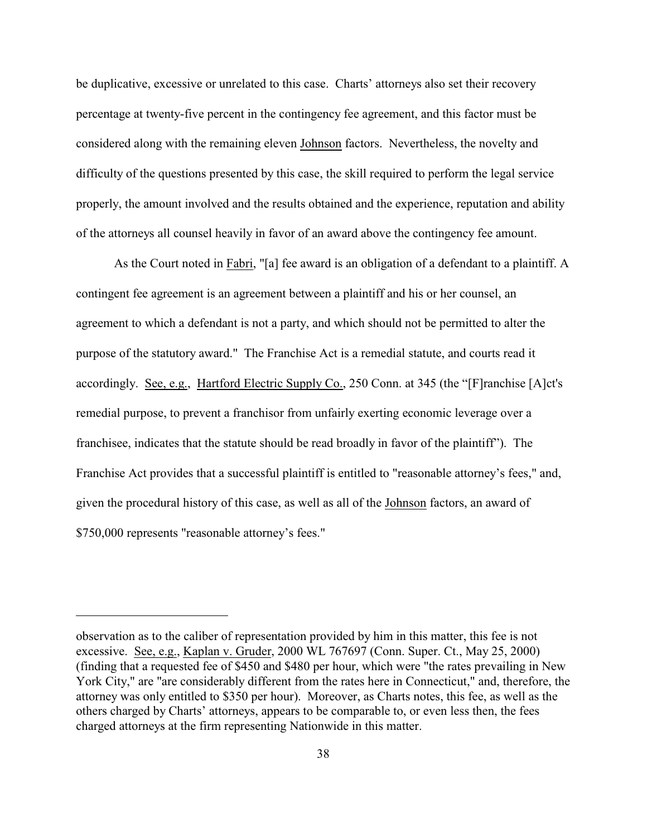be duplicative, excessive or unrelated to this case. Charts' attorneys also set their recovery percentage at twenty-five percent in the contingency fee agreement, and this factor must be considered along with the remaining eleven Johnson factors. Nevertheless, the novelty and difficulty of the questions presented by this case, the skill required to perform the legal service properly, the amount involved and the results obtained and the experience, reputation and ability of the attorneys all counsel heavily in favor of an award above the contingency fee amount.

As the Court noted in Fabri, "[a] fee award is an obligation of a defendant to a plaintiff. A contingent fee agreement is an agreement between a plaintiff and his or her counsel, an agreement to which a defendant is not a party, and which should not be permitted to alter the purpose of the statutory award." The Franchise Act is a remedial statute, and courts read it accordingly. See, e.g., Hartford Electric Supply Co., 250 Conn. at 345 (the "[F]ranchise [A]ct's remedial purpose, to prevent a franchisor from unfairly exerting economic leverage over a franchisee, indicates that the statute should be read broadly in favor of the plaintiff"). The Franchise Act provides that a successful plaintiff is entitled to "reasonable attorney's fees," and, given the procedural history of this case, as well as all of the Johnson factors, an award of \$750,000 represents "reasonable attorney's fees."

observation as to the caliber of representation provided by him in this matter, this fee is not excessive. See, e.g., Kaplan v. Gruder, 2000 WL 767697 (Conn. Super. Ct., May 25, 2000) (finding that a requested fee of \$450 and \$480 per hour, which were "the rates prevailing in New York City," are "are considerably different from the rates here in Connecticut," and, therefore, the attorney was only entitled to \$350 per hour). Moreover, as Charts notes, this fee, as well as the others charged by Charts' attorneys, appears to be comparable to, or even less then, the fees charged attorneys at the firm representing Nationwide in this matter.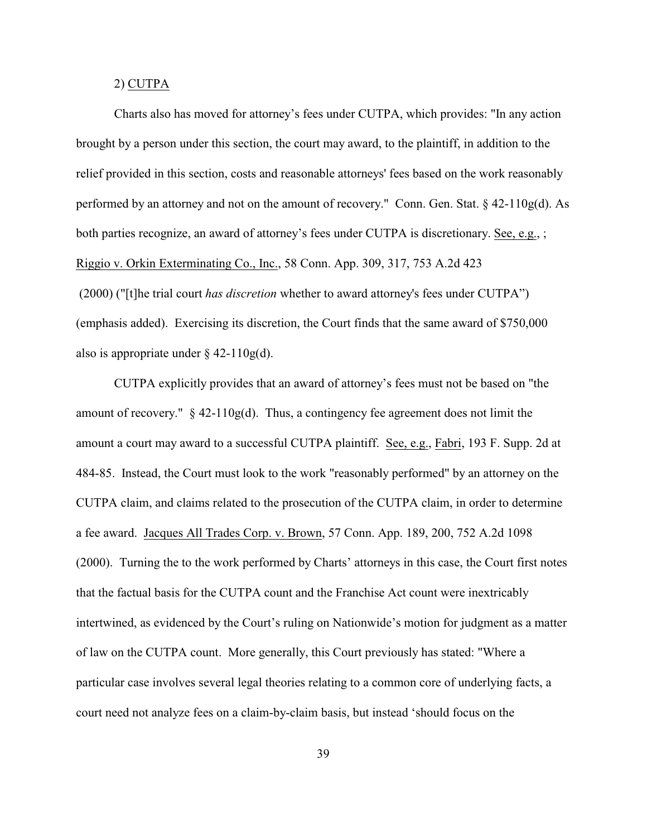### 2) CUTPA

Charts also has moved for attorney's fees under CUTPA, which provides: "In any action brought by a person under this section, the court may award, to the plaintiff, in addition to the relief provided in this section, costs and reasonable attorneys' fees based on the work reasonably performed by an attorney and not on the amount of recovery." Conn. Gen. Stat. § 42-110g(d). As both parties recognize, an award of attorney's fees under CUTPA is discretionary. See, e.g., ; Riggio v. Orkin Exterminating Co., Inc., 58 Conn. App. 309, 317, 753 A.2d 423 (2000) ("[t]he trial court *has discretion* whether to award attorney's fees under CUTPA") (emphasis added). Exercising its discretion, the Court finds that the same award of \$750,000 also is appropriate under  $\S$  42-110g(d).

CUTPA explicitly provides that an award of attorney's fees must not be based on "the amount of recovery."  $\S$  42-110g(d). Thus, a contingency fee agreement does not limit the amount a court may award to a successful CUTPA plaintiff. See, e.g., Fabri, 193 F. Supp. 2d at 484-85. Instead, the Court must look to the work "reasonably performed" by an attorney on the CUTPA claim, and claims related to the prosecution of the CUTPA claim, in order to determine a fee award. Jacques All Trades Corp. v. Brown, 57 Conn. App. 189, 200, 752 A.2d 1098 (2000). Turning the to the work performed by Charts' attorneys in this case, the Court first notes that the factual basis for the CUTPA count and the Franchise Act count were inextricably intertwined, as evidenced by the Court's ruling on Nationwide's motion for judgment as a matter of law on the CUTPA count. More generally, this Court previously has stated: "Where a particular case involves several legal theories relating to a common core of underlying facts, a court need not analyze fees on a claim-by-claim basis, but instead 'should focus on the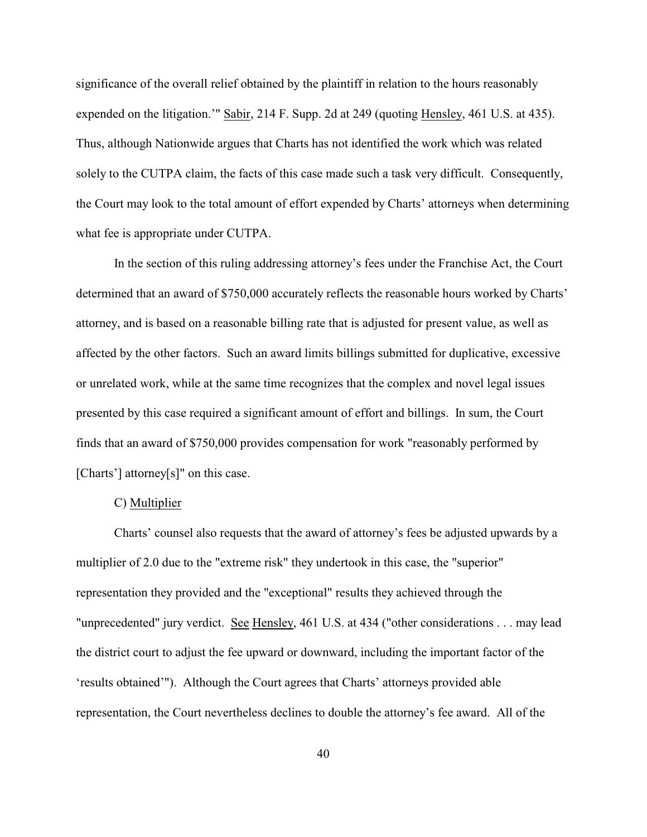significance of the overall relief obtained by the plaintiff in relation to the hours reasonably expended on the litigation.'" Sabir, 214 F. Supp. 2d at 249 (quoting Hensley, 461 U.S. at 435). Thus, although Nationwide argues that Charts has not identified the work which was related solely to the CUTPA claim, the facts of this case made such a task very difficult. Consequently, the Court may look to the total amount of effort expended by Charts' attorneys when determining what fee is appropriate under CUTPA.

In the section of this ruling addressing attorney's fees under the Franchise Act, the Court determined that an award of \$750,000 accurately reflects the reasonable hours worked by Charts' attorney, and is based on a reasonable billing rate that is adjusted for present value, as well as affected by the other factors. Such an award limits billings submitted for duplicative, excessive or unrelated work, while at the same time recognizes that the complex and novel legal issues presented by this case required a significant amount of effort and billings. In sum, the Court finds that an award of \$750,000 provides compensation for work "reasonably performed by [Charts'] attorney[s]" on this case.

## C) Multiplier

Charts' counsel also requests that the award of attorney's fees be adjusted upwards by a multiplier of 2.0 due to the "extreme risk" they undertook in this case, the "superior" representation they provided and the "exceptional" results they achieved through the "unprecedented" jury verdict. See Hensley, 461 U.S. at 434 ("other considerations . . . may lead the district court to adjust the fee upward or downward, including the important factor of the 'results obtained'"). Although the Court agrees that Charts' attorneys provided able representation, the Court nevertheless declines to double the attorney's fee award. All of the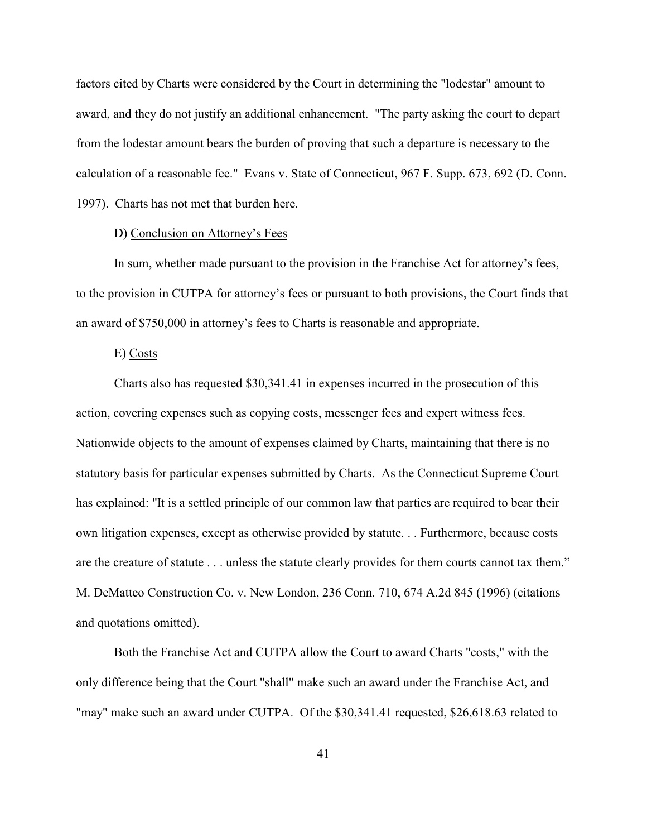factors cited by Charts were considered by the Court in determining the "lodestar" amount to award, and they do not justify an additional enhancement. "The party asking the court to depart from the lodestar amount bears the burden of proving that such a departure is necessary to the calculation of a reasonable fee." Evans v. State of Connecticut, 967 F. Supp. 673, 692 (D. Conn. 1997). Charts has not met that burden here.

### D) Conclusion on Attorney's Fees

In sum, whether made pursuant to the provision in the Franchise Act for attorney's fees, to the provision in CUTPA for attorney's fees or pursuant to both provisions, the Court finds that an award of \$750,000 in attorney's fees to Charts is reasonable and appropriate.

### E) Costs

Charts also has requested \$30,341.41 in expenses incurred in the prosecution of this action, covering expenses such as copying costs, messenger fees and expert witness fees. Nationwide objects to the amount of expenses claimed by Charts, maintaining that there is no statutory basis for particular expenses submitted by Charts. As the Connecticut Supreme Court has explained: "It is a settled principle of our common law that parties are required to bear their own litigation expenses, except as otherwise provided by statute. . . Furthermore, because costs are the creature of statute . . . unless the statute clearly provides for them courts cannot tax them." M. DeMatteo Construction Co. v. New London, 236 Conn. 710, 674 A.2d 845 (1996) (citations and quotations omitted).

Both the Franchise Act and CUTPA allow the Court to award Charts "costs," with the only difference being that the Court "shall" make such an award under the Franchise Act, and "may" make such an award under CUTPA. Of the \$30,341.41 requested, \$26,618.63 related to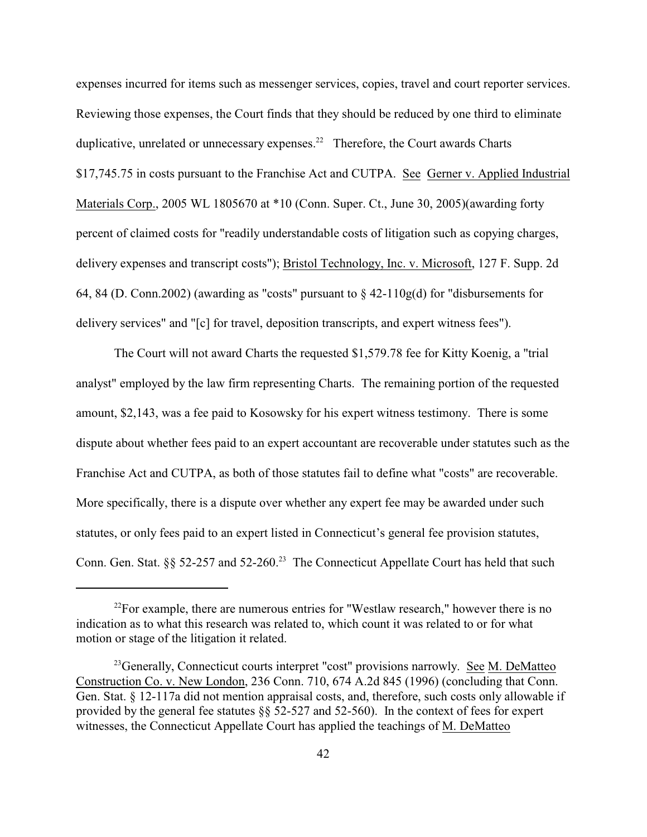expenses incurred for items such as messenger services, copies, travel and court reporter services. Reviewing those expenses, the Court finds that they should be reduced by one third to eliminate duplicative, unrelated or unnecessary expenses.<sup>22</sup> Therefore, the Court awards Charts \$17,745.75 in costs pursuant to the Franchise Act and CUTPA. See Gerner v. Applied Industrial Materials Corp., 2005 WL 1805670 at \*10 (Conn. Super. Ct., June 30, 2005)(awarding forty percent of claimed costs for "readily understandable costs of litigation such as copying charges, delivery expenses and transcript costs"); Bristol Technology, Inc. v. Microsoft, 127 F. Supp. 2d 64, 84 (D. Conn. 2002) (awarding as "costs" pursuant to  $\S$  42-110g(d) for "disbursements for delivery services" and "[c] for travel, deposition transcripts, and expert witness fees").

The Court will not award Charts the requested \$1,579.78 fee for Kitty Koenig, a "trial analyst" employed by the law firm representing Charts. The remaining portion of the requested amount, \$2,143, was a fee paid to Kosowsky for his expert witness testimony. There is some dispute about whether fees paid to an expert accountant are recoverable under statutes such as the Franchise Act and CUTPA, as both of those statutes fail to define what "costs" are recoverable. More specifically, there is a dispute over whether any expert fee may be awarded under such statutes, or only fees paid to an expert listed in Connecticut's general fee provision statutes, Conn. Gen. Stat. §§ 52-257 and 52-260.<sup>23</sup> The Connecticut Appellate Court has held that such

 $^{22}$ For example, there are numerous entries for "Westlaw research," however there is no indication as to what this research was related to, which count it was related to or for what motion or stage of the litigation it related.

 $^{23}$ Generally, Connecticut courts interpret "cost" provisions narrowly. See M. DeMatteo Construction Co. v. New London, 236 Conn. 710, 674 A.2d 845 (1996) (concluding that Conn. Gen. Stat. § 12-117a did not mention appraisal costs, and, therefore, such costs only allowable if provided by the general fee statutes §§ 52-527 and 52-560). In the context of fees for expert witnesses, the Connecticut Appellate Court has applied the teachings of M. DeMatteo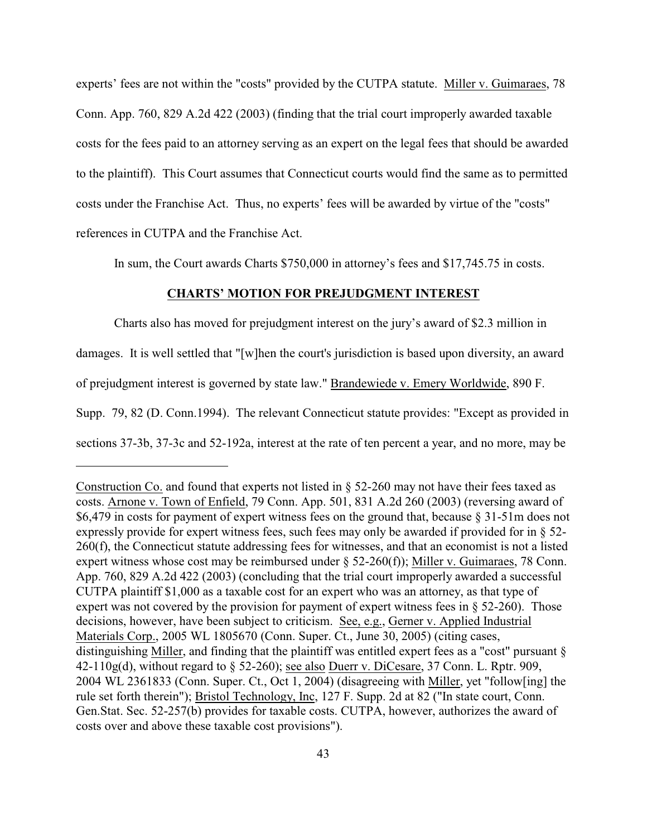experts' fees are not within the "costs" provided by the CUTPA statute. Miller v. Guimaraes, 78 Conn. App. 760, 829 A.2d 422 (2003) (finding that the trial court improperly awarded taxable costs for the fees paid to an attorney serving as an expert on the legal fees that should be awarded to the plaintiff). This Court assumes that Connecticut courts would find the same as to permitted costs under the Franchise Act. Thus, no experts' fees will be awarded by virtue of the "costs" references in CUTPA and the Franchise Act.

In sum, the Court awards Charts \$750,000 in attorney's fees and \$17,745.75 in costs.

### **CHARTS' MOTION FOR PREJUDGMENT INTEREST**

Charts also has moved for prejudgment interest on the jury's award of \$2.3 million in damages. It is well settled that "[w]hen the court's jurisdiction is based upon diversity, an award of prejudgment interest is governed by state law." Brandewiede v. Emery Worldwide, 890 F. Supp. 79, 82 (D. Conn.1994). The relevant Connecticut statute provides: "Except as provided in sections 37-3b, 37-3c and 52-192a, interest at the rate of ten percent a year, and no more, may be

Construction Co. and found that experts not listed in § 52-260 may not have their fees taxed as costs. Arnone v. Town of Enfield, 79 Conn. App. 501, 831 A.2d 260 (2003) (reversing award of \$6,479 in costs for payment of expert witness fees on the ground that, because § 31-51m does not expressly provide for expert witness fees, such fees may only be awarded if provided for in § 52- 260(f), the Connecticut statute addressing fees for witnesses, and that an economist is not a listed expert witness whose cost may be reimbursed under § 52-260(f)); Miller v. Guimaraes, 78 Conn. App. 760, 829 A.2d 422 (2003) (concluding that the trial court improperly awarded a successful CUTPA plaintiff \$1,000 as a taxable cost for an expert who was an attorney, as that type of expert was not covered by the provision for payment of expert witness fees in § 52-260). Those decisions, however, have been subject to criticism. See, e.g., Gerner v. Applied Industrial Materials Corp., 2005 WL 1805670 (Conn. Super. Ct., June 30, 2005) (citing cases, distinguishing Miller, and finding that the plaintiff was entitled expert fees as a "cost" pursuant §  $42-110g(d)$ , without regard to § 52-260); see also Duerr v. DiCesare, 37 Conn. L. Rptr. 909, 2004 WL 2361833 (Conn. Super. Ct., Oct 1, 2004) (disagreeing with Miller, yet "follow[ing] the rule set forth therein"); Bristol Technology, Inc, 127 F. Supp. 2d at 82 ("In state court, Conn. Gen.Stat. Sec. 52-257(b) provides for taxable costs. CUTPA, however, authorizes the award of costs over and above these taxable cost provisions").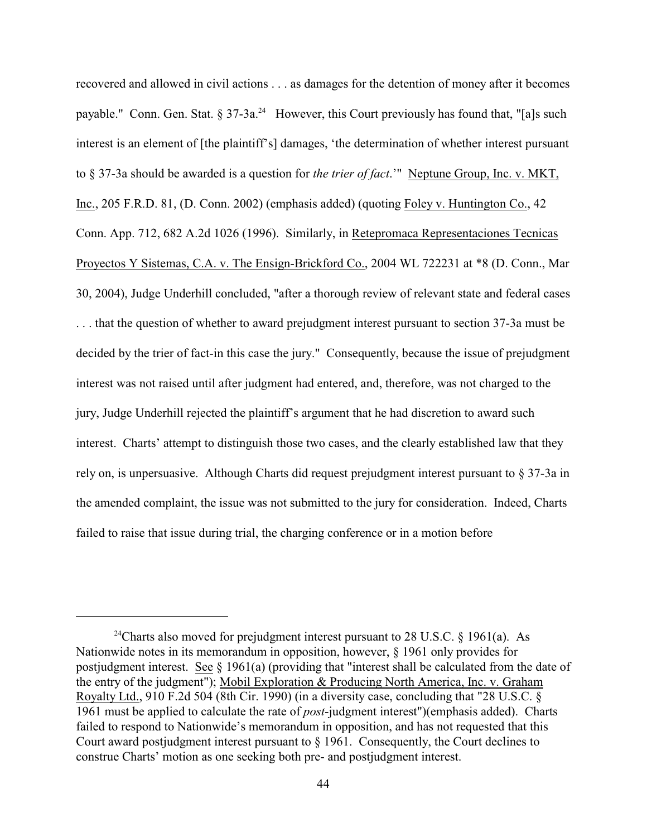recovered and allowed in civil actions . . . as damages for the detention of money after it becomes payable." Conn. Gen. Stat. § 37-3a.<sup>24</sup> However, this Court previously has found that, "[a]s such interest is an element of [the plaintiff's] damages, 'the determination of whether interest pursuant to § 37-3a should be awarded is a question for *the trier of fact*.'" Neptune Group, Inc. v. MKT, Inc., 205 F.R.D. 81, (D. Conn. 2002) (emphasis added) (quoting Foley v. Huntington Co., 42 Conn. App. 712, 682 A.2d 1026 (1996). Similarly, in Retepromaca Representaciones Tecnicas Proyectos Y Sistemas, C.A. v. The Ensign-Brickford Co., 2004 WL 722231 at \*8 (D. Conn., Mar 30, 2004), Judge Underhill concluded, "after a thorough review of relevant state and federal cases . . . that the question of whether to award prejudgment interest pursuant to section 37-3a must be decided by the trier of fact-in this case the jury." Consequently, because the issue of prejudgment interest was not raised until after judgment had entered, and, therefore, was not charged to the jury, Judge Underhill rejected the plaintiff's argument that he had discretion to award such interest. Charts' attempt to distinguish those two cases, and the clearly established law that they rely on, is unpersuasive. Although Charts did request prejudgment interest pursuant to § 37-3a in the amended complaint, the issue was not submitted to the jury for consideration. Indeed, Charts failed to raise that issue during trial, the charging conference or in a motion before

<sup>&</sup>lt;sup>24</sup>Charts also moved for prejudgment interest pursuant to 28 U.S.C. § 1961(a). As Nationwide notes in its memorandum in opposition, however, § 1961 only provides for postjudgment interest. See § 1961(a) (providing that "interest shall be calculated from the date of the entry of the judgment"); Mobil Exploration & Producing North America, Inc. v. Graham Royalty Ltd., 910 F.2d 504 (8th Cir. 1990) (in a diversity case, concluding that "28 U.S.C. § 1961 must be applied to calculate the rate of *post*-judgment interest")(emphasis added). Charts failed to respond to Nationwide's memorandum in opposition, and has not requested that this Court award postjudgment interest pursuant to § 1961. Consequently, the Court declines to construe Charts' motion as one seeking both pre- and postjudgment interest.